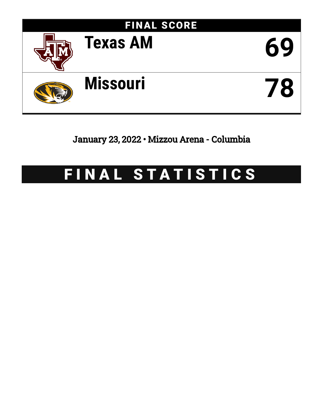

January 23, 2022 • Mizzou Arena - Columbia

# FINAL STATISTICS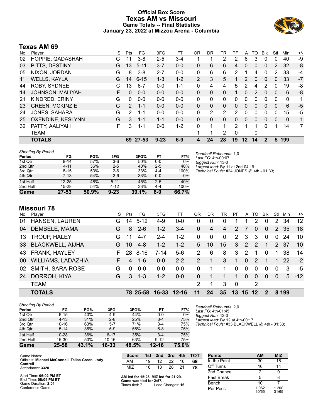### **Official Box Score Texas AM vs Missouri Game Totals -- Final Statistics January 23, 2022 at Mizzou Arena - Columbia**



# **Texas AM 69**

| No. | Plaver                 | S  | Pts           | FG       | 3FG      | FT      | 0R       | DR.          | TR             | PF           | A       | то           | <b>B</b> lk | Stl      | Min      | $+/-$ |
|-----|------------------------|----|---------------|----------|----------|---------|----------|--------------|----------------|--------------|---------|--------------|-------------|----------|----------|-------|
| 02  | HOPPIE, QADASHAH       | G  | 11            | $3 - 8$  | $2 - 5$  | 3-4     |          |              | $\overline{2}$ | 2            | 6       | 3            | $\Omega$    | 0        | 40       | -9    |
| 03  | PITTS, DESTINY         | G  | 13            | $5 - 11$ | $3 - 7$  | $0 - 0$ | 0        | 6            | 6              | 4            | 0       | $\Omega$     | $\Omega$    | 2        | 32       | -8    |
| 05  | NIXON, JORDAN          | G  | 8             | $3 - 8$  | $2 - 7$  | $0-0$   | 0        | 6            | 6              | 2            |         | 4            | 0           | 2        | 33       | -4    |
| 11  | <b>WELLS, KAYLA</b>    | G  | 14            | $6 - 15$ | $1 - 3$  | $1 - 2$ | 2        | 3            | 5              | 1            | 2       | $\mathbf{0}$ | $\Omega$    | 0        | 33       | $-7$  |
| 44  | ROBY, SYDNEE           | C. | 13            | $6 - 7$  | $0 - 0$  | $1 - 1$ | 0        | 4            | 4              | 5            | 2       | 4            | 2           | $\Omega$ | 19       | -8    |
| 14  | JOHNSON, MALIYAH       | F  | 0             | $0 - 0$  | $0 - 0$  | $0 - 0$ | 0        | $\mathbf{0}$ | 0              | 1            | 0       | 2            | $\Omega$    | 0        | 6        | -8    |
| 21  | KINDRED, ERINY         | G  | 0             | $0 - 0$  | $0 - 0$  | $0 - 0$ | 0        | 0            | 0              | 0            | 0       | 0            | 0           | $\Omega$ | 0        | 1     |
| 23  | <b>GREEN, MCKINZIE</b> | G  | $\mathcal{P}$ | $1 - 1$  | $0 - 0$  | $0 - 0$ | $\Omega$ | $\Omega$     | $\Omega$       | $\Omega$     | 0       | $\Omega$     | $\Omega$    | 0        | 6        | $-5$  |
| 24  | <b>JONES, SAHARA</b>   | G  | $\mathcal{P}$ | 1-1      | $0 - 0$  | $0 - 0$ | 0        | 2            | $\overline{2}$ | 2            | 0       | 0            | 0           | 0        | 15       | $-5$  |
| 25  | OXENDINE, KESLYNN      | G  | 3             | $1 - 1$  | $1 - 1$  | $0 - 0$ | 0        | $\Omega$     | $\mathbf{0}$   | $\Omega$     | 0       | $\mathbf{0}$ | $\Omega$    | $\Omega$ | $\Omega$ | 1     |
| 32  | PATTY, AALIYAH         | F  | 3             | 1-1      | $0 - 0$  | $1 - 2$ | 0        | 1            | 1              | 2            | 1       | 1            | 0           | 1        | 14       | 7     |
|     | <b>TEAM</b>            |    |               |          |          |         |          | 1            | $\overline{2}$ | $\mathbf{0}$ |         | 0            |             |          |          |       |
|     | <b>TOTALS</b>          |    | 69            | 27-53    | $9 - 23$ | $6-9$   | 4        | 24           | 28             | 19           | $12 \,$ | 14           |             | 5        | 199      |       |

| <b>Shooting By Period</b> |           |       |          |       |         |       |
|---------------------------|-----------|-------|----------|-------|---------|-------|
| Period                    | FG        | FG%   | 3FG      | 3FG%  | FT      | FT%   |
| 1st Qtr                   | $8 - 14$  | 57%   | $3-6$    | 50%   | $0-0$   | 0%    |
| 2nd Qtr                   | $4 - 11$  | 36%   | $2 - 5$  | 40%   | $2 - 5$ | 40%   |
| 3rd Qtr                   | $8 - 15$  | 53%   | $2-6$    | 33%   | $4 - 4$ | 100%  |
| 4th Qtr                   | $7 - 13$  | 54%   | $2 - 6$  | 33%   | $0-0$   | 0%    |
| 1st Half                  | $12 - 25$ | 48%   | $5 - 11$ | 45%   | $2 - 5$ | 40%   |
| 2nd Half                  | 15-28     | 54%   | $4 - 12$ | 33%   | $4 - 4$ | 100%  |
| Game                      | $27 - 53$ | 50.9% | $9 - 23$ | 39.1% | $6-9$   | 66.7% |

*Deadball Rebounds:* 1,0 *Last FG:* 4th-00:07 *Biggest Run:* 13-0 *Largest lead:* By 11 at 2nd-04:19 *Technical Fouls:* #24 JONES @ 4th - 01:33;

### **Missouri 78**

| No. | Player                  | S. | Pts      | FG       | 3FG       | FТ        | OR             | DR.            | TR             | PF             | A             | TO            | <b>B</b> lk | Stl            | Min         | $+/-$ |
|-----|-------------------------|----|----------|----------|-----------|-----------|----------------|----------------|----------------|----------------|---------------|---------------|-------------|----------------|-------------|-------|
| 01  | HANSEN, LAUREN          | G. | 14       | $5 - 12$ | $4-9$     | $0 - 0$   | 0              | 0              | $\Omega$       |                |               | 2             | 0           | $\overline{2}$ | 34          | 12    |
| 04  | DEMBELE, MAMA           | G  | 8        | $2 - 6$  | $1 - 2$   | $3 - 4$   | $\Omega$       | $\overline{4}$ | $\overline{4}$ | 2              |               | 0             | $\Omega$    | 2              | 35          | 18    |
| 13  | TROUP, HALEY            | G  | 11       | $4 - 7$  | $2 - 4$   | $1 - 2$   | $\Omega$       | 0              | $\Omega$       | $\overline{2}$ | 3             | 3             | $\Omega$    | $\Omega$       | 24          | 10    |
| 33  | <b>BLACKWELL, AIJHA</b> | G. | 10       | $4 - 8$  | $1 - 2$   | $1 - 2$   | 5.             | 10             | 15             | 3              | 2             | $\mathcal{P}$ |             |                | 2 37        | 10    |
| 43  | FRANK, HAYLEY           | F. | 28       | $8 - 16$ | 7-14      | $5-6$     | 2              | 6              | 8              | 3              | $\mathcal{P}$ | 1             | $\Omega$    | 1              | 38          | 14    |
| 00  | WILLIAMS, LADAZHIA      | F. | 4        | 1-6      | $0 - 0$   | $2 - 2$   | $\overline{2}$ |                | 3              | 1              | $\Omega$      | $\mathcal{P}$ |             | 1.             | -22         | $-2$  |
| 02  | SMITH, SARA-ROSE        | G  | $\Omega$ | $0 - 0$  | $0 - 0$   | $0 - 0$   | 0              |                |                | $\Omega$       | $\Omega$      | $\Omega$      | $\Omega$    | $\Omega$       | 3           | -5    |
| 24  | DORROH, KIYA            | G  | 3        | $1 - 3$  | $1 - 2$   | $0 - 0$   | 0              |                |                | 1              | $\Omega$      | 0             | $\Omega$    | $\Omega$       | $5^{\circ}$ | $-12$ |
|     | <b>TEAM</b>             |    |          |          |           |           | 2              | 1              | 3              | $\Omega$       |               | 2             |             |                |             |       |
|     | <b>TOTALS</b>           |    |          | 78 25-58 | $16 - 33$ | $12 - 16$ | 11             | 24             | 35             | 13             | 15            | 12            |             | 8              | 199         |       |

*Shooting By Period*

|          | .         |       |           |       |           |       |
|----------|-----------|-------|-----------|-------|-----------|-------|
| Period   | FG        | FG%   | 3FG       | 3FG%  | FT        | FT%   |
| 1st Qtr  | $6 - 15$  | 40%   | $4-9$     | 44%   | $0 - 0$   | 0%    |
| 2nd Qtr  | $4 - 13$  | 31%   | $2 - 8$   | 25%   | $3 - 4$   | 75%   |
| 3rd Qtr  | $10 - 16$ | 63%   | $5 - 7$   | 71%   | $3 - 4$   | 75%   |
| 4th Qtr  | $5 - 14$  | 36%   | $5-9$     | 56%   | $6 - 8$   | 75%   |
| 1st Half | $10 - 28$ | 36%   | $6 - 17$  | 35%   | $3 - 4$   | 75%   |
| 2nd Half | 15-30     | 50%   | $10 - 16$ | 63%   | $9 - 12$  | 75%   |
| Game     | 25-58     | 43.1% | 16-33     | 48.5% | $12 - 16$ | 75.0% |

*Deadball Rebounds:* 2,0 *Last FG:* 4th-01:45 *Biggest Run:* 12-0 *Largest lead:* By 12 at 4th-00:17 *Technical Fouls:* #33 BLACKWELL @ 4th - 01:33;

| Game Notes:                                                  | <b>Score</b>                             | 1st | 2nd              | 3rd | 4th | <b>TOT</b> | <b>Points</b>     | AM             | <b>MIZ</b>     |
|--------------------------------------------------------------|------------------------------------------|-----|------------------|-----|-----|------------|-------------------|----------------|----------------|
| Officials: Michael McConnell, Talisa Green, Jody<br>Cantrell | AM                                       | 19  | 12               | 22  |     | 69         | In the Paint      | 30             | 18             |
| Attendance: 3320                                             | MIZ                                      | 16  | 13               | 28  | 21  | 78         | Off Turns         | 16             | 14             |
|                                                              |                                          |     |                  |     |     |            | 2nd Chance        |                |                |
| Start Time: 06:02 PM ET<br>End Time: 08:04 PM ET             | AM led for 15:28. MIZ led for 21:29.     |     |                  |     |     |            | <b>Fast Break</b> |                |                |
| Game Duration: 2:01                                          | Game was tied for 2:57.<br>Times tied: 7 |     | Lead Changes: 16 |     |     |            | Bench             | 10             |                |
| Conference Game:                                             |                                          |     |                  |     |     |            | Per Poss          | 1.062<br>30/65 | 1.200<br>31/65 |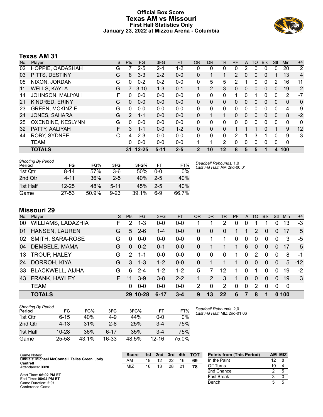### **Official Box Score Texas AM vs Missouri First Half Statistics Only January 23, 2022 at Mizzou Arena - Columbia**



# **Texas AM 31**

| No. | Plaver                  | S | <b>Pts</b>    | <b>FG</b> | 3FG      | <b>FT</b> | <b>OR</b>    | DR           | TR             | <b>PF</b> | A | TO       | <b>Blk</b>   | Stl          | Min          | $+/-$          |
|-----|-------------------------|---|---------------|-----------|----------|-----------|--------------|--------------|----------------|-----------|---|----------|--------------|--------------|--------------|----------------|
| 02  | HOPPIE, QADASHAH        | G |               | $2 - 5$   | 2-4      | $1 - 2$   | 0            | 0            | 0              | 0         | 2 | 0        | 0            | 0            | 20           | $\overline{2}$ |
| 03  | PITTS, DESTINY          | G | 8             | $3 - 3$   | $2 - 2$  | $0 - 0$   | 0            | 1            | 1              | 2         | 0 | 0        | $\Omega$     |              | 13           | 4              |
| 05  | NIXON, JORDAN           | G | 0             | $0 - 2$   | $0 - 2$  | $0 - 0$   | 0            | 5            | 5              | 2         |   | 0        | 0            | 2            | 16           | 11             |
| 11  | <b>WELLS, KAYLA</b>     | G |               | $3 - 10$  | $1 - 3$  | $0 - 1$   |              | 2            | 3              | 0         | 0 | $\Omega$ | $\mathbf{0}$ | 0            | 19           | $\overline{2}$ |
| 14  | <b>JOHNSON, MALIYAH</b> | F | 0             | $0 - 0$   | $0 - 0$  | $0 - 0$   | 0            | 0            | 0              | 1         | 0 |          | 0            | 0            | 2            | $-7$           |
| 21  | KINDRED, ERINY          | G | $\Omega$      | $0 - 0$   | $0 - 0$  | $0 - 0$   | $\mathbf{0}$ | 0            | $\Omega$       | 0         | 0 | $\Omega$ | $\Omega$     | $\Omega$     | $\mathbf{0}$ | 0              |
| 23  | <b>GREEN, MCKINZIE</b>  | G | 0             | $0 - 0$   | $0 - 0$  | $0 - 0$   | 0            | 0            | 0              | 0         | 0 | 0        | $\Omega$     | 0            | 4            | -9             |
| 24  | <b>JONES, SAHARA</b>    | G | $\mathcal{P}$ | $1 - 1$   | $0 - 0$  | $0 - 0$   | 0            | $\mathbf{1}$ | 1              | 0         | 0 | 0        | $\Omega$     | $\mathbf{0}$ | 8            | $-2$           |
| 25  | OXENDINE, KESLYNN       | G | 0             | $0 - 0$   | $0 - 0$  | $0 - 0$   | 0            | 0            | $\Omega$       | 0         | 0 | 0        | $\Omega$     | 0            | 0            | 0              |
| 32  | PATTY, AALIYAH          | F | 3             | $1 - 1$   | $0 - 0$  | $1 - 2$   | 0            | 0            | 0              |           |   |          | 0            |              | 9            | 12             |
| 44  | <b>ROBY, SYDNEE</b>     | C | 4             | $2 - 3$   | $0 - 0$  | $0 - 0$   | 0            | $\Omega$     | 0              | 2         |   | 3        |              | $\Omega$     | 9            | $-3$           |
|     | <b>TEAM</b>             |   | 0             | $0 - 0$   | $0 - 0$  | $0 - 0$   |              | 1            | $\overline{2}$ | 0         | 0 | $\Omega$ | $\Omega$     | 0            | $\mathbf 0$  |                |
|     | <b>TOTALS</b>           |   | 31            | $12 - 25$ | $5 - 11$ | $2 - 5$   | 2            | 10           | 12             | 8         | 5 | 5        |              | 4            | 100          |                |

| <b>Shooting By Period</b><br>Period | FG        | FG%   | 3FG      | 3FG%  | FT    | FT%   |
|-------------------------------------|-----------|-------|----------|-------|-------|-------|
| 1st Otr                             | $8 - 14$  | 57%   | $3-6$    | 50%   | ი-ი   | 0%    |
| 2nd Qtr                             | 4-11      | 36%   | $2-5$    | 40%   | $2-5$ | 40%   |
| 1st Half                            | $12 - 25$ | 48%   | $5 - 11$ | 45%   | $2-5$ | 40%   |
| Game                                | $27 - 53$ | 50.9% | $9 - 23$ | 39.1% | հ-9   | 66.7% |

*Deadball Rebounds:* 1,0 *Last FG Half:* AM 2nd-00:01

# **Missouri 29**

| No. | Player                  | S. | <b>Pts</b>    | FG.      | 3FG      | <b>FT</b> | <b>OR</b> | <b>DR</b> | TR.           | PF       | A        | TO.           | <b>Blk</b> | Stl      | Min         | $+/-$ |
|-----|-------------------------|----|---------------|----------|----------|-----------|-----------|-----------|---------------|----------|----------|---------------|------------|----------|-------------|-------|
| 00  | WILLIAMS, LADAZHIA      | F  | 2             | $1 - 3$  | $0 - 0$  | $0 - 0$   |           |           | 2             | 0        | 0        |               |            | 0        | 13          | $-3$  |
| 01  | <b>HANSEN, LAUREN</b>   | G  | 5             | $2 - 6$  | $1 - 4$  | $0-0$     | 0         | $\Omega$  | $\Omega$      |          | 1        | $\mathcal{P}$ | $\Omega$   | 0        | 17          | 5     |
| 02  | SMITH, SARA-ROSE        | G  | $\Omega$      | $0 - 0$  | $0-0$    | $0-0$     | 0         |           |               | $\Omega$ | 0        | $\Omega$      | $\Omega$   | 0        | 3           | -5    |
| 04  | DEMBELE, MAMA           | G  | $\Omega$      | $0 - 2$  | $0 - 1$  | $0-0$     | 0         |           |               | 1        | 6        | 0             | $\Omega$   | $\Omega$ | -17         | 5     |
| 13  | <b>TROUP, HALEY</b>     | G  | $\mathcal{P}$ | $1 - 1$  | $0-0$    | $0-0$     | 0         | $\Omega$  | $\Omega$      | 1        | $\Omega$ | 2             | $\Omega$   | $\Omega$ | 8           | -1    |
| 24  | DORROH, KIYA            | G  | 3             | $1 - 3$  | $1 - 2$  | $0-0$     | 0         |           |               | 1        | $\Omega$ | $\Omega$      | $\Omega$   | $\Omega$ | $5^{\circ}$ | $-12$ |
| 33  | <b>BLACKWELL, AIJHA</b> | G  | 6             | $2 - 4$  | $1 - 2$  | $1 - 2$   | 5         | 7         | 12            |          | 0        | 1             | $\Omega$   | $\Omega$ | 19          | $-2$  |
| 43  | <b>FRANK, HAYLEY</b>    | F. | 11            | $3-9$    | $3 - 8$  | $2 - 2$   |           | 2         | 3             | 1        | $\Omega$ | $\Omega$      | $\Omega$   | $\Omega$ | 19          | 3     |
|     | <b>TEAM</b>             |    | 0             | $0 - 0$  | $0 - 0$  | $0-0$     | 2         | $\Omega$  | $\mathcal{P}$ | $\Omega$ | $\Omega$ | $\mathcal{P}$ | $\Omega$   | 0        | - 0         |       |
|     | <b>TOTALS</b>           |    |               | 29 10-28 | $6 - 17$ | $3 - 4$   | 9         | 13        | 22            | 6        |          | 8             |            | $\Omega$ | 100         |       |

| <b>Shooting By Period</b> |           |       |          |       |         |       |  |
|---------------------------|-----------|-------|----------|-------|---------|-------|--|
| Period                    | FG        | FG%   | 3FG      | 3FG%  | FT      | FT%   |  |
| 1st Otr                   | 6-15      | 40%   | 4-9      | 44%   | $0 - 0$ | $0\%$ |  |
| 2nd Qtr                   | $4 - 13$  | 31%   | $2 - 8$  | 25%   | $3 - 4$ | 75%   |  |
| 1st Half                  | $10 - 28$ | 36%   | $6 - 17$ | 35%   | $3 - 4$ | 75%   |  |
| Game                      | 25-58     | 43.1% | 16-33    | 48.5% | 12-16   | 75.0% |  |

*Deadball Rebounds:* 2,0 *Last FG Half:* MIZ 2nd-01:06

| Game Notes:                                                  | <b>Score</b> | 1st | 2nd | 3rd | 4th | <b>TOT</b> | <b>Points from (This Period)</b> |    | AM MIZ |
|--------------------------------------------------------------|--------------|-----|-----|-----|-----|------------|----------------------------------|----|--------|
| Officials: Michael McConnell, Talisa Green, Jody<br>Cantrell | AM           | 19  |     | 22  | 16  | 69         | In the Paint                     | 12 |        |
| Attendance: 3320                                             | MIZ          | 16  |     | 28  |     | 78         | Off Turns                        | 10 |        |
|                                                              |              |     |     |     |     |            | 2nd Chance                       |    |        |
| Start Time: 06:02 PM ET<br>End Time: 08:04 PM ET             |              |     |     |     |     |            | Fast Break                       |    |        |
| Game Duration: 2:01<br>Conference Game:                      |              |     |     |     |     |            | Bench                            |    |        |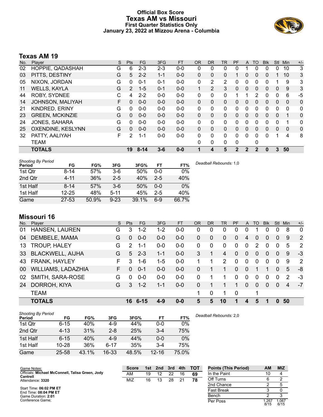### **Official Box Score Texas AM vs Missouri First Quarter Statistics Only January 23, 2022 at Mizzou Arena - Columbia**



# **Texas AM 19**

| No. | Plaver                 | S | <b>Pts</b>     | <b>FG</b> | 3FG     | <b>FT</b> | <b>OR</b>    | DR            | TR | <b>PF</b>    | A            | TO       | <b>BIK</b> | Stl          | Min      | $+/-$        |
|-----|------------------------|---|----------------|-----------|---------|-----------|--------------|---------------|----|--------------|--------------|----------|------------|--------------|----------|--------------|
| 02  | HOPPIE, QADASHAH       | G | 6              | $2 - 3$   | $2 - 3$ | $0-0$     | 0            | 0             | 0  | 0            |              | 0        | 0          | 0            | 10       | 3            |
| 03  | PITTS, DESTINY         | G | 5              | $2 - 2$   | $1 - 1$ | $0 - 0$   | $\mathbf{0}$ | $\Omega$      | 0  |              | 0            | $\Omega$ | 0          |              | 10       | 3            |
| 05  | NIXON, JORDAN          | G | 0              | $0 - 1$   | $0 - 1$ | $0 - 0$   | 0            | 2             | 2  | 0            | 0            | 0        | 0          |              | 9        | 3            |
| 11  | <b>WELLS, KAYLA</b>    | G | $\overline{2}$ | $1 - 5$   | $0 - 1$ | $0 - 0$   | 1            | $\mathcal{P}$ | 3  | 0            | 0            | $\Omega$ | $\Omega$   | $\Omega$     | 9        | 3            |
| 44  | <b>ROBY, SYDNEE</b>    | С | 4              | $2 - 2$   | $0 - 0$ | $0 - 0$   | 0            | 0             | 0  |              |              | 2        | $\Omega$   | $\mathbf{0}$ | 6        | $-5$         |
| 14  | JOHNSON, MALIYAH       | F | $\Omega$       | $0 - 0$   | $0 - 0$ | $0 - 0$   | $\mathbf{0}$ | $\Omega$      | 0  | 0            | $\mathbf{0}$ | $\Omega$ | 0          | $\mathbf{0}$ | $\Omega$ | $\mathbf{0}$ |
| 21  | <b>KINDRED, ERINY</b>  | G | 0              | $0 - 0$   | $0-0$   | $0-0$     | $\Omega$     | 0             | 0  | $\Omega$     | 0            | 0        | 0          | $\Omega$     | $\Omega$ | $\mathbf{0}$ |
| 23  | <b>GREEN, MCKINZIE</b> | G | $\Omega$       | $0 - 0$   | $0 - 0$ | $0 - 0$   | $\Omega$     | $\Omega$      | 0  | 0            | 0            | $\Omega$ | $\Omega$   | $\Omega$     | 1        | $\mathbf{0}$ |
| 24  | <b>JONES, SAHARA</b>   | G | 0              | $0 - 0$   | $0 - 0$ | $0 - 0$   | $\Omega$     | $\Omega$      | 0  | $\Omega$     | 0            | 0        | 0          | 0            |          | 0            |
| 25  | OXENDINE, KESLYNN      | G | $\Omega$       | $0 - 0$   | $0 - 0$ | $0 - 0$   | $\Omega$     | $\Omega$      | 0  | $\Omega$     | $\mathbf{0}$ | $\Omega$ | $\Omega$   | $\mathbf{0}$ | $\Omega$ | $\mathbf{0}$ |
| 32  | PATTY, AALIYAH         | F | 2              | $1 - 1$   | $0-0$   | $0 - 0$   | $\Omega$     | $\Omega$      | 0  | $\Omega$     | $\Omega$     | $\Omega$ | $\Omega$   | 1            | 4        | 8            |
|     | <b>TEAM</b>            |   |                |           |         |           | $\Omega$     | 0             | 0  | $\mathbf{0}$ |              | 0        |            |              |          |              |
|     | <b>TOTALS</b>          |   | 19             | $8 - 14$  | $3 - 6$ | $0 - 0$   |              | 4             | 5  | 2            | 2            | 2        | 0          | 3            | 50       |              |

| <b>Shooting By Period</b><br>Period | FG        | FG%   | 3FG      | 3FG%  | <b>FT</b> | FT%   | Deadball Rebounds: 1,0 |
|-------------------------------------|-----------|-------|----------|-------|-----------|-------|------------------------|
| 1st Qtr                             | 8-14      | 57%   | $3-6$    | 50%   | $0 - 0$   | 0%    |                        |
| 2nd Qtr                             | $4 - 11$  | 36%   | $2 - 5$  | 40%   | $2 - 5$   | 40%   |                        |
| 1st Half                            | $8 - 14$  | 57%   | $3-6$    | 50%   | $0 - 0$   | 0%    |                        |
| 1st Half                            | $12 - 25$ | 48%   | $5 - 11$ | 45%   | $2 - 5$   | 40%   |                        |
| Game                                | $27 - 53$ | 50.9% | $9 - 23$ | 39.1% | $6-9$     | 66.7% |                        |

# **Missouri 16**

| No. | Player                  | S  | <b>Pts</b>    | FG.      | 3FG     | <b>FT</b> | <b>OR</b>    | <b>DR</b> | TR             | <b>PF</b>    | A              | TO       | <b>Blk</b> | <b>Stl</b>   | Min | $+/-$          |
|-----|-------------------------|----|---------------|----------|---------|-----------|--------------|-----------|----------------|--------------|----------------|----------|------------|--------------|-----|----------------|
| 01  | HANSEN, LAUREN          | G  | 3             | $1 - 2$  | $1 - 2$ | $0-0$     | 0            | 0         | 0              | 0            | 0              |          | 0          |              | 8   | $\overline{0}$ |
| 04  | DEMBELE, MAMA           | G  | $\Omega$      | $0 - 0$  | $0 - 0$ | $0 - 0$   | $\Omega$     | $\Omega$  | $\mathbf{0}$   | $\Omega$     | 4              | $\Omega$ | 0          | 0            | 9   | $\overline{2}$ |
| 13  | TROUP, HALEY            | G  | $\mathcal{P}$ | $1 - 1$  | $0-0$   | $0 - 0$   | $\mathbf{0}$ | 0         | $\Omega$       | 0            | $\mathbf{0}$   | 2        | 0          | $\mathbf 0$  | 5   | 2              |
| 33  | <b>BLACKWELL, AIJHA</b> | G  | 5             | $2 - 3$  | 1-1     | $0 - 0$   | 3            |           | $\overline{4}$ | $\mathbf{0}$ | $\overline{0}$ | 0        | $\Omega$   | $\mathbf{0}$ | 9   | $-3$           |
| 43  | FRANK, HAYLEY           | F. | 3             | $1 - 6$  | $1-5$   | $0 - 0$   |              |           | 2              | $\Omega$     | $\mathbf{0}$   | $\Omega$ | $\Omega$   | $\mathbf 0$  | 9   | 2              |
| 00  | WILLIAMS, LADAZHIA      | F. | 0             | $0 - 1$  | $0 - 0$ | $0 - 0$   | 0            |           |                | 0            | $\Omega$       |          |            | $\Omega$     | 5   | -8             |
| 02  | SMITH, SARA-ROSE        | G  | 0             | $0 - 0$  | $0-0$   | $0 - 0$   | 0            |           |                | $\Omega$     | $\Omega$       | $\Omega$ | $\Omega$   | $\Omega$     | 2   | -3             |
| 24  | DORROH, KIYA            | G  | 3             | $1 - 2$  | 1-1     | $0 - 0$   | 0            |           |                | 1            | $\Omega$       | $\Omega$ | $\Omega$   | $\Omega$     | 4   | -7             |
|     | <b>TEAM</b>             |    |               |          |         |           | 1            | 0         |                | 0            |                | 1        |            |              |     |                |
|     | <b>TOTALS</b>           |    | 16            | $6 - 15$ | $4 - 9$ | $0 - 0$   | 5            | 5         | 10             | 1            | 4              | 5        |            | O            | 50  |                |

| <b>Shooting By Period</b><br>Period | FG        | FG%   | 3FG      | 3FG%  | FT        | FT%   | Deadball Rebounds: 2,0 |
|-------------------------------------|-----------|-------|----------|-------|-----------|-------|------------------------|
| 1st Qtr                             | 6-15      | 40%   | 4-9      | 44%   | 0-0       | $0\%$ |                        |
| 2nd Qtr                             | $4 - 13$  | 31%   | $2 - 8$  | 25%   | $3 - 4$   | 75%   |                        |
| 1st Half                            | $6 - 15$  | 40%   | $4-9$    | 44%   | 0-0       | 0%    |                        |
| 1st Half                            | $10 - 28$ | 36%   | $6 - 17$ | 35%   | $3 - 4$   | 75%   |                        |
| Game                                | 25-58     | 43.1% | 16-33    | 48.5% | $12 - 16$ | 75.0% |                        |

| Game Notes:                                                  | <b>Score</b> | 1st | 2nd | 3rd | 4th | <b>TOT</b> | <b>Points (This Period)</b>                          | AM     | <b>MIZ</b> |
|--------------------------------------------------------------|--------------|-----|-----|-----|-----|------------|------------------------------------------------------|--------|------------|
| Officials: Michael McConnell, Talisa Green, Jody<br>Cantrell | AM           | 19  |     | 22  | 16  | 69         | In the Paint                                         | 1 ∩    |            |
| Attendance: 3320                                             | <b>MIZ</b>   | 16  | 13  | 28  | 21  |            | Off Turns                                            |        |            |
|                                                              |              |     |     |     |     |            | 2nd Chance                                           |        |            |
| Start Time: 06:02 PM FT                                      |              |     |     |     |     |            | $\overline{\phantom{a}}$<br>$\overline{\phantom{0}}$ | $\sim$ | $\sim$     |

Start Time: **06:02 PM ET** End Time: **08:04 PM ET** Game Duration: **2:01** Conference Game;

| <b>POINTS (THIS PERIOD)</b> | AM            | MIZ           |
|-----------------------------|---------------|---------------|
| In the Paint                | 10            |               |
| Off Turns                   | 6             | 2             |
| 2nd Chance                  | 2             | 5             |
| <b>Fast Break</b>           | 3             |               |
| Bench                       | 2             | 3             |
| Per Poss                    | 1.267<br>8/15 | 1.067<br>6/15 |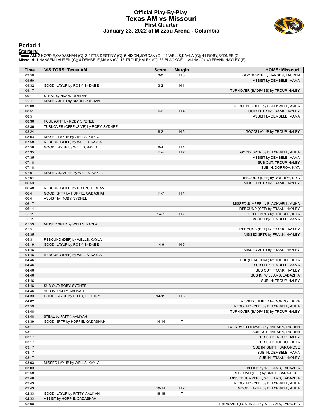#### **Official Play-By-Play Texas AM vs Missouri First Quarter January 23, 2022 at Mizzou Arena - Columbia**



#### **Period 1**

<mark>Startersː</mark><br>Texas AM: 2 HOPPIE,QADASHAH (G); 3 PITTS,DESTINY (G); 5 NIXON,JORDAN (G); 11 WELLS,KAYLA (G); 44 ROBY,SYDNEE (C);<br>Missouri: 1 HANSEN,LAUREN (G); 4 DEMBELE,MAMA (G); 13 TROUP,HALEY (G); 33 BLACKWELL,AIJHA (G);

| <b>Time</b> | <b>VISITORS: Texas AM</b>            | <b>Score</b> | <b>Margin</b>  | <b>HOME: Missouri</b>                     |
|-------------|--------------------------------------|--------------|----------------|-------------------------------------------|
| 09:50       |                                      | $3-0$        | $H_3$          | GOOD! 3PTR by HANSEN, LAUREN              |
| 09:50       |                                      |              |                | ASSIST by DEMBELE, MAMA                   |
| 09:32       | GOOD! LAYUP by ROBY, SYDNEE          | $3 - 2$      | H <sub>1</sub> |                                           |
| 09:17       |                                      |              |                | TURNOVER (BADPASS) by TROUP, HALEY        |
| 09:17       | STEAL by NIXON, JORDAN               |              |                |                                           |
| 09:11       | MISSED 3PTR by NIXON, JORDAN         |              |                |                                           |
| 09:08       |                                      |              |                | REBOUND (DEF) by BLACKWELL, AIJHA         |
| 08:51       |                                      | $6 - 2$      | H <sub>4</sub> | GOOD! 3PTR by FRANK, HAYLEY               |
| 08:51       |                                      |              |                | ASSIST by DEMBELE, MAMA                   |
| 08:36       | FOUL (OFF) by ROBY, SYDNEE           |              |                |                                           |
| 08:36       | TURNOVER (OFFENSIVE) by ROBY, SYDNEE |              |                |                                           |
| 08:24       |                                      | $8 - 2$      | H <sub>6</sub> | GOOD! LAYUP by TROUP, HALEY               |
| 08:03       | MISSED LAYUP by WELLS, KAYLA         |              |                |                                           |
| 07:58       | REBOUND (OFF) by WELLS, KAYLA        |              |                |                                           |
| 07:58       | GOOD! LAYUP by WELLS, KAYLA          | $8 - 4$      | H <sub>4</sub> |                                           |
| 07:35       |                                      | $11 - 4$     | H <sub>7</sub> | GOOD! 3PTR by BLACKWELL, AIJHA            |
| 07:35       |                                      |              |                | ASSIST by DEMBELE, MAMA                   |
| 07:18       |                                      |              |                | SUB OUT: TROUP, HALEY                     |
| 07:18       |                                      |              |                | SUB IN: DORROH, KIYA                      |
| 07:07       | MISSED JUMPER by WELLS, KAYLA        |              |                |                                           |
| 07:04       |                                      |              |                | REBOUND (DEF) by DORROH, KIYA             |
| 06:53       |                                      |              |                | MISSED 3PTR by FRANK, HAYLEY              |
| 06:48       | REBOUND (DEF) by NIXON, JORDAN       |              |                |                                           |
| 06:41       | GOOD! 3PTR by HOPPIE, QADASHAH       | $11 - 7$     | H <sub>4</sub> |                                           |
| 06:41       | ASSIST by ROBY, SYDNEE               |              |                |                                           |
| 06:17       |                                      |              |                | MISSED JUMPER by BLACKWELL, AIJHA         |
| 06:14       |                                      |              |                | REBOUND (OFF) by FRANK, HAYLEY            |
| 06:11       |                                      | $14 - 7$     | H7             | GOOD! 3PTR by DORROH, KIYA                |
| 06:11       |                                      |              |                | ASSIST by DEMBELE, MAMA                   |
| 05:53       | MISSED 3PTR by WELLS, KAYLA          |              |                |                                           |
| 05:51       |                                      |              |                | REBOUND (DEF) by FRANK, HAYLEY            |
| 05:35       |                                      |              |                | MISSED 3PTR by FRANK, HAYLEY              |
| 05:31       | REBOUND (DEF) by WELLS, KAYLA        |              |                |                                           |
| 05:19       | GOOD! LAYUP by ROBY, SYDNEE          | $14-9$       | H <sub>5</sub> |                                           |
| 04:46       |                                      |              |                | MISSED 3PTR by FRANK, HAYLEY              |
| 04:46       | REBOUND (DEF) by WELLS, KAYLA        |              |                |                                           |
| 04:46       |                                      |              |                | FOUL (PERSONAL) by DORROH, KIYA           |
| 04:46       |                                      |              |                | SUB OUT: DEMBELE, MAMA                    |
| 04:46       |                                      |              |                | SUB OUT: FRANK, HAYLEY                    |
| 04:46       |                                      |              |                | SUB IN: WILLIAMS, LADAZHIA                |
| 04:46       |                                      |              |                | SUB IN: TROUP, HALEY                      |
| 04:46       | SUB OUT: ROBY, SYDNEE                |              |                |                                           |
| 04:46       | SUB IN: PATTY, AALIYAH               |              |                |                                           |
| 04:33       | GOOD! LAYUP by PITTS, DESTINY        | $14 - 11$    | $H_3$          |                                           |
| 04:02       |                                      |              |                | MISSED JUMPER by DORROH, KIYA             |
| 03:59       |                                      |              |                | REBOUND (OFF) by BLACKWELL, AIJHA         |
| 03:48       |                                      |              |                | TURNOVER (BADPASS) by TROUP, HALEY        |
| 03:48       | STEAL by PATTY, AALIYAH              |              |                |                                           |
| 03:39       | GOOD! 3PTR by HOPPIE, QADASHAH       | $14 - 14$    | $\mathsf T$    |                                           |
| 03:17       |                                      |              |                | TURNOVER (TRAVEL) by HANSEN, LAUREN       |
| 03:17       |                                      |              |                | SUB OUT: HANSEN, LAUREN                   |
| 03:17       |                                      |              |                | SUB OUT: TROUP, HALEY                     |
| 03:17       |                                      |              |                | SUB OUT: DORROH, KIYA                     |
| 03:17       |                                      |              |                | SUB IN: SMITH, SARA-ROSE                  |
| 03:17       |                                      |              |                | SUB IN: DEMBELE, MAMA                     |
| 03:17       |                                      |              |                | SUB IN: FRANK, HAYLEY                     |
| 03:03       | MISSED LAYUP by WELLS, KAYLA         |              |                |                                           |
| 03:03       |                                      |              |                | BLOCK by WILLIAMS, LADAZHIA               |
| 02:58       |                                      |              |                | REBOUND (DEF) by SMITH, SARA-ROSE         |
| 02:48       |                                      |              |                | MISSED JUMPER by WILLIAMS, LADAZHIA       |
| 02:43       |                                      |              |                | REBOUND (OFF) by BLACKWELL, AIJHA         |
| 02:43       |                                      | $16-14$      | H <sub>2</sub> | GOOD! LAYUP by BLACKWELL, AIJHA           |
| 02:33       | GOOD! LAYUP by PATTY, AALIYAH        | $16-16$      | $\mathsf T$    |                                           |
| 02:33       | ASSIST by HOPPIE, QADASHAH           |              |                |                                           |
| 02:08       |                                      |              |                | TURNOVER (LOSTBALL) by WILLIAMS, LADAZHIA |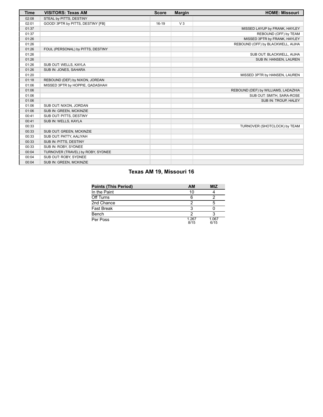| <b>Time</b> | <b>VISITORS: Texas AM</b>         | <b>Score</b> | <b>Margin</b>  | <b>HOME: Missouri</b>               |
|-------------|-----------------------------------|--------------|----------------|-------------------------------------|
| 02:08       | STEAL by PITTS, DESTINY           |              |                |                                     |
| 02:01       | GOOD! 3PTR by PITTS, DESTINY [FB] | $16-19$      | V <sub>3</sub> |                                     |
| 01:37       |                                   |              |                | MISSED LAYUP by FRANK, HAYLEY       |
| 01:37       |                                   |              |                | REBOUND (OFF) by TEAM               |
| 01:26       |                                   |              |                | MISSED 3PTR by FRANK, HAYLEY        |
| 01:26       |                                   |              |                | REBOUND (OFF) by BLACKWELL, AIJHA   |
| 01:26       | FOUL (PERSONAL) by PITTS, DESTINY |              |                |                                     |
| 01:26       |                                   |              |                | SUB OUT: BLACKWELL, AIJHA           |
| 01:26       |                                   |              |                | SUB IN: HANSEN, LAUREN              |
| 01:26       | SUB OUT: WELLS, KAYLA             |              |                |                                     |
| 01:26       | SUB IN: JONES, SAHARA             |              |                |                                     |
| 01:20       |                                   |              |                | MISSED 3PTR by HANSEN, LAUREN       |
| 01:18       | REBOUND (DEF) by NIXON, JORDAN    |              |                |                                     |
| 01:06       | MISSED 3PTR by HOPPIE, QADASHAH   |              |                |                                     |
| 01:06       |                                   |              |                | REBOUND (DEF) by WILLIAMS, LADAZHIA |
| 01:06       |                                   |              |                | SUB OUT: SMITH, SARA-ROSE           |
| 01:06       |                                   |              |                | SUB IN: TROUP, HALEY                |
| 01:06       | SUB OUT: NIXON, JORDAN            |              |                |                                     |
| 01:06       | SUB IN: GREEN, MCKINZIE           |              |                |                                     |
| 00:41       | SUB OUT: PITTS, DESTINY           |              |                |                                     |
| 00:41       | SUB IN: WELLS, KAYLA              |              |                |                                     |
| 00:33       |                                   |              |                | TURNOVER (SHOTCLOCK) by TEAM        |
| 00:33       | SUB OUT: GREEN, MCKINZIE          |              |                |                                     |
| 00:33       | SUB OUT: PATTY, AALIYAH           |              |                |                                     |
| 00:33       | SUB IN: PITTS, DESTINY            |              |                |                                     |
| 00:33       | SUB IN: ROBY, SYDNEE              |              |                |                                     |
| 00:04       | TURNOVER (TRAVEL) by ROBY, SYDNEE |              |                |                                     |
| 00:04       | SUB OUT: ROBY, SYDNEE             |              |                |                                     |
| 00:04       | SUB IN: GREEN, MCKINZIE           |              |                |                                     |

# **Texas AM 19, Missouri 16**

| <b>Points (This Period)</b> | <b>AM</b>     | <b>MIZ</b>    |
|-----------------------------|---------------|---------------|
| In the Paint                | 10            |               |
| Off Turns                   |               |               |
| 2nd Chance                  |               |               |
| Fast Break                  |               |               |
| Bench                       |               |               |
| Per Poss                    | 1.267<br>8/15 | 1.067<br>6/15 |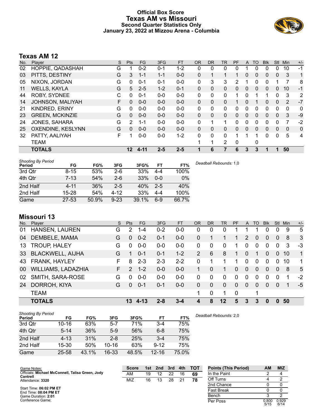### **Official Box Score Texas AM vs Missouri Second Quarter Statistics Only January 23, 2022 at Mizzou Arena - Columbia**



# **Texas AM 12**

| No. | Plaver                 | S | <b>Pts</b> | <b>FG</b> | 3FG     | <b>FT</b> | <b>OR</b>    | <b>DR</b>    | TR | PF | A        | TO | <b>BIK</b> | Stl          | Min | $+/-$ |
|-----|------------------------|---|------------|-----------|---------|-----------|--------------|--------------|----|----|----------|----|------------|--------------|-----|-------|
| 02  | HOPPIE, QADASHAH       | G |            | $0 - 2$   | $0 - 1$ | 1-2       | 0            | 0            | 0  | 0  |          | 0  | 0          | 0            | 10  | -1    |
| 03  | PITTS, DESTINY         | G | 3          | $1 - 1$   | $1 - 1$ | $0 - 0$   | 0            |              | 1  |    | $\Omega$ | 0  | 0          | $\mathbf{0}$ | 3   | 1     |
| 05  | NIXON, JORDAN          | G | 0          | $0 - 1$   | $0 - 1$ | $0 - 0$   | $\mathbf{0}$ | 3            | 3  | 2  |          | 0  | 0          |              |     | 8     |
| 11  | <b>WELLS, KAYLA</b>    | G | 5          | $2 - 5$   | $1 - 2$ | $0 - 1$   | $\Omega$     | $\Omega$     | 0  | 0  | $\Omega$ | 0  | 0          | $\Omega$     | 10  | $-1$  |
| 44  | <b>ROBY, SYDNEE</b>    | С | 0          | $0 - 1$   | $0 - 0$ | $0 - 0$   | $\Omega$     | 0            | 0  | 1  | $\Omega$ |    |            | $\Omega$     | 3   | 2     |
| 14  | JOHNSON, MALIYAH       | F | 0          | $0 - 0$   | $0 - 0$ | $0 - 0$   | 0            | $\Omega$     | 0  |    | $\Omega$ |    | 0          | $\mathbf{0}$ | 2   | $-7$  |
| 21  | <b>KINDRED, ERINY</b>  | G | 0          | $0 - 0$   | $0-0$   | $0-0$     | 0            | 0            | 0  | 0  | $\Omega$ | 0  | 0          | $\Omega$     | 0   | 0     |
| 23  | <b>GREEN, MCKINZIE</b> | G | $\Omega$   | $0 - 0$   | $0 - 0$ | $0 - 0$   | $\Omega$     | $\mathbf{0}$ | 0  | 0  | $\Omega$ | 0  | 0          | $\Omega$     | 3   | $-9$  |
| 24  | <b>JONES, SAHARA</b>   | G | 2          | $1 - 1$   | $0 - 0$ | $0 - 0$   | $\Omega$     |              | 1  | 0  | $\Omega$ | 0  | 0          | 0            | 7   | $-2$  |
| 25  | OXENDINE, KESLYNN      | G | 0          | $0 - 0$   | $0 - 0$ | $0 - 0$   | 0            | 0            | 0  | 0  | $\Omega$ | 0  | 0          | $\Omega$     | 0   | 0     |
| 32  | PATTY, AALIYAH         | F |            | $0 - 0$   | $0-0$   | $1 - 2$   | $\Omega$     | $\Omega$     | 0  | 1  |          | 1  | 0          | $\Omega$     | 5   | 4     |
|     | <b>TEAM</b>            |   |            |           |         |           |              | 1            | 2  | 0  |          | 0  |            |              |     |       |
|     | <b>TOTALS</b>          |   | 12         | 4-11      | $2 - 5$ | $2 - 5$   |              | 6            |    | 6  | 3        | 3  |            |              | 50  |       |

| <b>Shooting By Period</b><br>Period | FG        | FG%   | 3FG      | 3FG%  | FT      | FT%   | Deadball Rebounds: 1.0 |
|-------------------------------------|-----------|-------|----------|-------|---------|-------|------------------------|
| 3rd Qtr                             | $8 - 15$  | 53%   | $2-6$    | 33%   | 4-4     | 100%  |                        |
| 4th Qtr                             | $7 - 13$  | 54%   | $2 - 6$  | 33%   | $0 - 0$ | 0%    |                        |
| 2nd Half                            | $4 - 11$  | 36%   | $2 - 5$  | 40%   | $2 - 5$ | 40%   |                        |
| 2nd Half                            | $15 - 28$ | 54%   | 4-12     | 33%   | $4 - 4$ | 100%  |                        |
| Game                                | $27 - 53$ | 50.9% | $9 - 23$ | 39.1% | $6-9$   | 66.7% |                        |

# **Missouri 13**

| No. | Player                  | S. | <b>Pts</b>    | FG.     | 3FG     | <b>FT</b> | <b>OR</b>      | <b>DR</b> | <b>TR</b>   | PF             | A            | TO       | <b>Blk</b> | <b>Stl</b>   | Min | $+/-$        |
|-----|-------------------------|----|---------------|---------|---------|-----------|----------------|-----------|-------------|----------------|--------------|----------|------------|--------------|-----|--------------|
| 01  | <b>HANSEN, LAUREN</b>   | G  | 2             | $1 - 4$ | $0 - 2$ | $0-0$     | 0              | 0         | 0           |                |              |          | 0          | $\Omega$     | 9   | 5            |
| 04  | DEMBELE, MAMA           | G  | $\Omega$      | $0 - 2$ | $0 - 1$ | $0-0$     | $\Omega$       |           |             | 1              | 2            | $\Omega$ | 0          | $\mathbf{0}$ | 8   | $\mathbf{3}$ |
| 13  | TROUP, HALEY            | G  | 0             | $0 - 0$ | $0-0$   | $0 - 0$   | 0              | 0         | $\mathbf 0$ | 1.             | 0            | $\Omega$ | $\Omega$   | 0            | 3   | $-3$         |
| 33  | <b>BLACKWELL, AIJHA</b> | G  | 1             | $0 - 1$ | $0 - 1$ | $1 - 2$   | $\overline{2}$ | 6         | 8           | 1.             | $\mathbf{0}$ |          | 0          | $\Omega$     | 10  | $\mathbf{1}$ |
| 43  | <b>FRANK, HAYLEY</b>    | F  | 8             | $2 - 3$ | $2 - 3$ | $2 - 2$   | $\Omega$       | 1         |             | 1              | $\Omega$     | $\Omega$ | 0          | $\Omega$     | 10  | 1            |
| 00  | WILLIAMS, LADAZHIA      | F. | $\mathcal{P}$ | $1 - 2$ | $0-0$   | $0-0$     | 1.             | 0         |             | $\Omega$       | $\Omega$     | $\Omega$ | 0          | $\Omega$     | 8   | 5            |
| 02  | SMITH, SARA-ROSE        | G  | 0             | $0 - 0$ | $0-0$   | $0 - 0$   | $\Omega$       | 0         | $\Omega$    | $\Omega$       | 0            | $\Omega$ | 0          | $\Omega$     | 1   | $-2$         |
| 24  | DORROH, KIYA            | G  | $\Omega$      | $0 - 1$ | $0 - 1$ | $0-0$     | 0              | 0         | $\Omega$    | $\Omega$       | $\Omega$     | $\Omega$ | $\Omega$   | $\Omega$     | 1   | $-5$         |
|     | <b>TEAM</b>             |    |               |         |         |           | 1              | 0         |             | $\overline{0}$ |              | 1        |            |              |     |              |
|     | <b>TOTALS</b>           |    | 13            | 4-13    | $2 - 8$ | $3 - 4$   | 4              | 8         | $12 \,$     | 5              | 3            | 3        | 0          |              | 50  |              |

| <b>Shooting By Period</b><br>Period | FG        | FG%   | 3FG       | 3FG%  | FT        | FT%   | Deadball Rebounds: 2,0 |
|-------------------------------------|-----------|-------|-----------|-------|-----------|-------|------------------------|
| 3rd Qtr                             | $10 - 16$ | 63%   | $5 - 7$   | 71%   | $3 - 4$   | 75%   |                        |
| 4th Qtr                             | $5 - 14$  | 36%   | $5-9$     | 56%   | $6 - 8$   | 75%   |                        |
| 2nd Half                            | $4 - 13$  | 31%   | $2 - 8$   | 25%   | $3 - 4$   | 75%   |                        |
| 2nd Half                            | 15-30     | 50%   | $10 - 16$ | 63%   | $9 - 12$  | 75%   |                        |
| Game                                | $25 - 58$ | 43.1% | $16 - 33$ | 48.5% | $12 - 16$ | 75.0% |                        |

| Game Notes:                                                  | <b>Score</b> | 1st | 2nd | 3rd | 4th | <b>TOT</b> | <b>Points (This Period)</b> | ΑN | <b>MIZ</b> |
|--------------------------------------------------------------|--------------|-----|-----|-----|-----|------------|-----------------------------|----|------------|
| Officials: Michael McConnell, Talisa Green, Jody<br>Cantrell | AM           | 19  |     | 22  | 16  | 69         | In the Paint                |    |            |
| Attendance: 3320                                             | MIZ          | 16  | 13  | 28  | 21  | 78         | Off Turns                   |    |            |
|                                                              |              |     |     |     |     |            | 2nd Chance                  |    |            |
| Start Time: 06:02 PM ET<br>- - - - - - - - - - -             |              |     |     |     |     |            | Fast Break                  |    |            |

Start Time: **06:02 PM ET** End Time: **08:04 PM ET** Game Duration: **2:01** Conference Game;

| In the Paint      |               |               |
|-------------------|---------------|---------------|
| Off Turns         |               |               |
| 2nd Chance        |               |               |
| <b>Fast Break</b> |               |               |
| Bench             | З             | 2             |
| Per Poss          | 0.800<br>5/15 | 0.929<br>6/14 |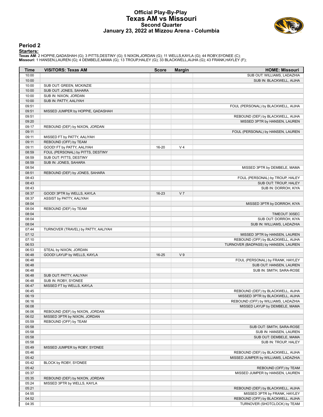#### **Official Play-By-Play Texas AM vs Missouri Second Quarter January 23, 2022 at Mizzou Arena - Columbia**



#### **Period 2**

<mark>Startersː</mark><br>Texas AM: 2 HOPPIE,QADASHAH (G); 3 PITTS,DESTINY (G); 5 NIXON,JORDAN (G); 11 WELLS,KAYLA (G); 44 ROBY,SYDNEE (C);<br>Missouri: 1 HANSEN,LAUREN (G); 4 DEMBELE,MAMA (G); 13 TROUP,HALEY (G); 33 BLACKWELL,AIJHA (G);

| Time  | <b>VISITORS: Texas AM</b>           | <b>Score</b> | <b>Margin</b>  | <b>HOME: Missouri</b>                |
|-------|-------------------------------------|--------------|----------------|--------------------------------------|
| 10:00 |                                     |              |                | SUB OUT: WILLIAMS, LADAZHIA          |
| 10:00 |                                     |              |                | SUB IN: BLACKWELL, AIJHA             |
| 10:00 | SUB OUT: GREEN, MCKINZIE            |              |                |                                      |
| 10:00 | SUB OUT: JONES, SAHARA              |              |                |                                      |
| 10:00 | SUB IN: NIXON, JORDAN               |              |                |                                      |
| 10:00 | SUB IN: PATTY, AALIYAH              |              |                |                                      |
| 09:51 |                                     |              |                | FOUL (PERSONAL) by BLACKWELL, AIJHA  |
| 09:51 | MISSED JUMPER by HOPPIE, QADASHAH   |              |                |                                      |
| 09:51 |                                     |              |                | REBOUND (DEF) by BLACKWELL, AIJHA    |
| 09:20 |                                     |              |                | MISSED 3PTR by HANSEN, LAUREN        |
| 09:17 | REBOUND (DEF) by NIXON, JORDAN      |              |                |                                      |
| 09:11 |                                     |              |                | FOUL (PERSONAL) by HANSEN, LAUREN    |
| 09:11 | MISSED FT by PATTY, AALIYAH         |              |                |                                      |
| 09:11 | REBOUND (OFF) by TEAM               |              |                |                                      |
| 09:11 | GOOD! FT by PATTY, AALIYAH          | 16-20        | V <sub>4</sub> |                                      |
| 08:59 | FOUL (PERSONAL) by PITTS, DESTINY   |              |                |                                      |
| 08:59 | SUB OUT: PITTS, DESTINY             |              |                |                                      |
| 08:59 | SUB IN: JONES, SAHARA               |              |                |                                      |
| 08:54 |                                     |              |                | MISSED 3PTR by DEMBELE, MAMA         |
| 08:51 | REBOUND (DEF) by JONES, SAHARA      |              |                |                                      |
| 08:43 |                                     |              |                | FOUL (PERSONAL) by TROUP, HALEY      |
| 08:43 |                                     |              |                | SUB OUT: TROUP, HALEY                |
| 08:43 |                                     |              |                | SUB IN: DORROH, KIYA                 |
| 08:37 | GOOD! 3PTR by WELLS, KAYLA          | 16-23        | V <sub>7</sub> |                                      |
| 08:37 | ASSIST by PATTY, AALIYAH            |              |                |                                      |
| 08:04 |                                     |              |                | MISSED 3PTR by DORROH, KIYA          |
| 08:04 | REBOUND (DEF) by TEAM               |              |                |                                      |
| 08:04 |                                     |              |                | TIMEOUT 30SEC                        |
| 08:04 |                                     |              |                | SUB OUT: DORROH, KIYA                |
| 08:04 |                                     |              |                | SUB IN: WILLIAMS, LADAZHIA           |
| 07:44 | TURNOVER (TRAVEL) by PATTY, AALIYAH |              |                |                                      |
| 07:12 |                                     |              |                | MISSED 3PTR by HANSEN, LAUREN        |
| 07:10 |                                     |              |                | REBOUND (OFF) by BLACKWELL, AIJHA    |
| 06:53 |                                     |              |                | TURNOVER (BADPASS) by HANSEN, LAUREN |
| 06:53 | STEAL by NIXON, JORDAN              |              |                |                                      |
| 06:48 | GOOD! LAYUP by WELLS, KAYLA         | $16 - 25$    | V <sub>9</sub> |                                      |
| 06:48 |                                     |              |                | FOUL (PERSONAL) by FRANK, HAYLEY     |
| 06:48 |                                     |              |                | SUB OUT: HANSEN, LAUREN              |
| 06:48 |                                     |              |                | SUB IN: SMITH, SARA-ROSE             |
| 06:48 | SUB OUT: PATTY, AALIYAH             |              |                |                                      |
| 06:48 | SUB IN: ROBY, SYDNEE                |              |                |                                      |
| 06:47 | MISSED FT by WELLS, KAYLA           |              |                |                                      |
| 06:45 |                                     |              |                | REBOUND (DEF) by BLACKWELL, AIJHA    |
| 06:19 |                                     |              |                | MISSED 3PTR by BLACKWELL, AIJHA      |
|       |                                     |              |                | REBOUND (OFF) by WILLIAMS, LADAZHIA  |
| 06:16 |                                     |              |                |                                      |
| 06:08 |                                     |              |                | MISSED LAYUP by DEMBELE, MAMA        |
| 06:06 | REBOUND (DEF) by NIXON, JORDAN      |              |                |                                      |
| 06:02 | MISSED 3PTR by NIXON, JORDAN        |              |                |                                      |
| 05:59 | REBOUND (OFF) by TEAM               |              |                |                                      |
| 05:58 |                                     |              |                | SUB OUT: SMITH, SARA-ROSE            |
| 05:58 |                                     |              |                | SUB IN: HANSEN, LAUREN               |
| 05:58 |                                     |              |                | SUB OUT: DEMBELE, MAMA               |
| 05:58 |                                     |              |                | SUB IN: TROUP, HALEY                 |
| 05:49 | MISSED JUMPER by ROBY, SYDNEE       |              |                |                                      |
| 05:46 |                                     |              |                | REBOUND (DEF) by BLACKWELL, AIJHA    |
| 05:42 |                                     |              |                | MISSED JUMPER by WILLIAMS, LADAZHIA  |
| 05:42 | BLOCK by ROBY, SYDNEE               |              |                |                                      |
| 05:42 |                                     |              |                | REBOUND (OFF) by TEAM                |
| 05:37 |                                     |              |                | MISSED JUMPER by HANSEN, LAUREN      |
| 05:35 | REBOUND (DEF) by NIXON, JORDAN      |              |                |                                      |
| 05:24 | MISSED 3PTR by WELLS, KAYLA         |              |                |                                      |
| 05:21 |                                     |              |                | REBOUND (DEF) by BLACKWELL, AIJHA    |
| 04:55 |                                     |              |                | MISSED 3PTR by FRANK, HAYLEY         |
| 04:52 |                                     |              |                | REBOUND (OFF) by BLACKWELL, AIJHA    |
| 04:35 |                                     |              |                | TURNOVER (SHOTCLOCK) by TEAM         |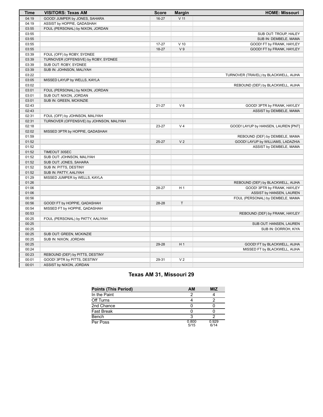| <b>Time</b> | <b>VISITORS: Texas AM</b>                | <b>Score</b> | <b>Margin</b>   | <b>HOME: Missouri</b>                 |  |  |  |  |  |
|-------------|------------------------------------------|--------------|-----------------|---------------------------------------|--|--|--|--|--|
| 04:19       | GOOD! JUMPER by JONES, SAHARA            | $16 - 27$    | V <sub>11</sub> |                                       |  |  |  |  |  |
| 04:19       | ASSIST by HOPPIE, QADASHAH               |              |                 |                                       |  |  |  |  |  |
| 03:55       | FOUL (PERSONAL) by NIXON, JORDAN         |              |                 |                                       |  |  |  |  |  |
| 03:55       |                                          |              |                 | SUB OUT: TROUP, HALEY                 |  |  |  |  |  |
| 03:55       |                                          |              |                 | SUB IN: DEMBELE, MAMA                 |  |  |  |  |  |
| 03:55       |                                          | $17 - 27$    | $V$ 10          | GOOD! FT by FRANK, HAYLEY             |  |  |  |  |  |
| 03:55       |                                          | 18-27        | V <sub>9</sub>  | GOOD! FT by FRANK, HAYLEY             |  |  |  |  |  |
| 03:39       | FOUL (OFF) by ROBY, SYDNEE               |              |                 |                                       |  |  |  |  |  |
| 03:39       | TURNOVER (OFFENSIVE) by ROBY, SYDNEE     |              |                 |                                       |  |  |  |  |  |
| 03:39       | SUB OUT: ROBY, SYDNEE                    |              |                 |                                       |  |  |  |  |  |
| 03:39       | SUB IN: JOHNSON, MALIYAH                 |              |                 |                                       |  |  |  |  |  |
| 03:22       |                                          |              |                 | TURNOVER (TRAVEL) by BLACKWELL, AIJHA |  |  |  |  |  |
| 03:05       | MISSED LAYUP by WELLS, KAYLA             |              |                 |                                       |  |  |  |  |  |
| 03:02       |                                          |              |                 | REBOUND (DEF) by BLACKWELL, AIJHA     |  |  |  |  |  |
| 03:01       | FOUL (PERSONAL) by NIXON, JORDAN         |              |                 |                                       |  |  |  |  |  |
| 03:01       | SUB OUT: NIXON, JORDAN                   |              |                 |                                       |  |  |  |  |  |
| 03:01       | SUB IN: GREEN, MCKINZIE                  |              |                 |                                       |  |  |  |  |  |
| 02:43       |                                          | $21 - 27$    | $V_6$           | GOOD! 3PTR by FRANK, HAYLEY           |  |  |  |  |  |
| 02:43       |                                          |              |                 | ASSIST by DEMBELE, MAMA               |  |  |  |  |  |
| 02:31       | FOUL (OFF) by JOHNSON, MALIYAH           |              |                 |                                       |  |  |  |  |  |
| 02:31       | TURNOVER (OFFENSIVE) by JOHNSON, MALIYAH |              |                 |                                       |  |  |  |  |  |
| 02:18       |                                          | 23-27        | V <sub>4</sub>  | GOOD! LAYUP by HANSEN, LAUREN [PNT]   |  |  |  |  |  |
| 02:02       | MISSED 3PTR by HOPPIE, QADASHAH          |              |                 |                                       |  |  |  |  |  |
| 01:59       |                                          |              |                 | REBOUND (DEF) by DEMBELE, MAMA        |  |  |  |  |  |
| 01:52       |                                          | $25 - 27$    | V <sub>2</sub>  | GOOD! LAYUP by WILLIAMS, LADAZHIA     |  |  |  |  |  |
| 01:52       |                                          |              |                 | ASSIST by DEMBELE, MAMA               |  |  |  |  |  |
| 01:52       | TIMEOUT 30SEC                            |              |                 |                                       |  |  |  |  |  |
| 01:52       | SUB OUT: JOHNSON, MALIYAH                |              |                 |                                       |  |  |  |  |  |
| 01:52       | SUB OUT: JONES, SAHARA                   |              |                 |                                       |  |  |  |  |  |
| 01:52       | SUB IN: PITTS, DESTINY                   |              |                 |                                       |  |  |  |  |  |
| 01:52       | SUB IN: PATTY, AALIYAH                   |              |                 |                                       |  |  |  |  |  |
| 01:29       | MISSED JUMPER by WELLS, KAYLA            |              |                 |                                       |  |  |  |  |  |
| 01:26       |                                          |              |                 | REBOUND (DEF) by BLACKWELL, AIJHA     |  |  |  |  |  |
| 01:06       |                                          | 28-27        | H <sub>1</sub>  | GOOD! 3PTR by FRANK, HAYLEY           |  |  |  |  |  |
| 01:06       |                                          |              |                 | ASSIST by HANSEN, LAUREN              |  |  |  |  |  |
| 00:56       |                                          |              |                 | FOUL (PERSONAL) by DEMBELE, MAMA      |  |  |  |  |  |
| 00:56       | GOOD! FT by HOPPIE, QADASHAH             | 28-28        | T.              |                                       |  |  |  |  |  |
| 00:54       | MISSED FT by HOPPIE, QADASHAH            |              |                 |                                       |  |  |  |  |  |
| 00:53       |                                          |              |                 | REBOUND (DEF) by FRANK, HAYLEY        |  |  |  |  |  |
| 00:25       | FOUL (PERSONAL) by PATTY, AALIYAH        |              |                 |                                       |  |  |  |  |  |
| 00:25       |                                          |              |                 | SUB OUT: HANSEN, LAUREN               |  |  |  |  |  |
| 00:25       |                                          |              |                 | SUB IN: DORROH, KIYA                  |  |  |  |  |  |
| 00:25       | SUB OUT: GREEN, MCKINZIE                 |              |                 |                                       |  |  |  |  |  |
| 00:25       | SUB IN: NIXON, JORDAN                    |              |                 |                                       |  |  |  |  |  |
| 00:25       |                                          | 29-28        | H <sub>1</sub>  | GOOD! FT by BLACKWELL, AIJHA          |  |  |  |  |  |
| 00:24       |                                          |              |                 | MISSED FT by BLACKWELL, AIJHA         |  |  |  |  |  |
| 00:23       | REBOUND (DEF) by PITTS, DESTINY          |              |                 |                                       |  |  |  |  |  |
| 00:01       | GOOD! 3PTR by PITTS, DESTINY             | 29-31        | V <sub>2</sub>  |                                       |  |  |  |  |  |
| 00:01       | ASSIST by NIXON, JORDAN                  |              |                 |                                       |  |  |  |  |  |

# **Texas AM 31, Missouri 29**

| <b>Points (This Period)</b> | AM            | <b>MIZ</b>    |
|-----------------------------|---------------|---------------|
| In the Paint                |               |               |
| Off Turns                   |               |               |
| 2nd Chance                  |               |               |
| <b>Fast Break</b>           |               |               |
| Bench                       |               |               |
| Per Poss                    | 0.800<br>5/15 | 0.929<br>6/14 |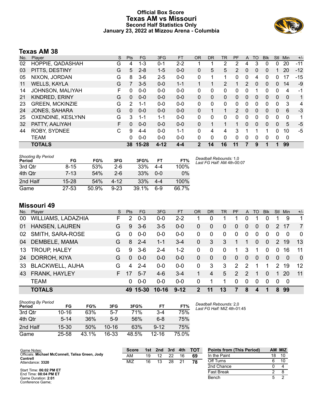### **Official Box Score Texas AM vs Missouri Second Half Statistics Only January 23, 2022 at Mizzou Arena - Columbia**



### **Texas AM 38**

| No. | Player                  | S | <b>Pts</b>   | FG      | 3FG      | <b>FT</b> | <b>OR</b>    | <b>DR</b>    | <b>TR</b> | <b>PF</b>      | A            | TO       | <b>Blk</b> | <b>Stl</b> | Min         | $+/-$        |
|-----|-------------------------|---|--------------|---------|----------|-----------|--------------|--------------|-----------|----------------|--------------|----------|------------|------------|-------------|--------------|
| 02  | HOPPIE, QADASHAH        | G | 4            | 1-3     | $0 - 1$  | $2 - 2$   |              |              | 2         | 2              | 4            | 3        | 0          | 0          | 20          | $-11$        |
| 03  | PITTS, DESTINY          | G | 5            | $2 - 8$ | $1 - 5$  | $0 - 0$   | $\Omega$     | 5            | 5         | 2              | $\Omega$     | 0        | 0          |            | 20          | $-12$        |
| 05  | NIXON, JORDAN           | G | 8            | $3-6$   | $2 - 5$  | $0 - 0$   | 0            |              |           | $\Omega$       | 0            | 4        | 0          | 0          | 17          | -15          |
| 11  | <b>WELLS, KAYLA</b>     | G |              | $3 - 5$ | $0 - 0$  | $1 - 1$   |              |              | 2         |                | 2            | 0        | 0          | $\Omega$   | 14          | $-9$         |
| 14  | <b>JOHNSON, MALIYAH</b> | F | 0            | $0 - 0$ | $0 - 0$  | $0 - 0$   | $\Omega$     | 0            | 0         | 0              | $\Omega$     |          | 0          | 0          | 4           | -1           |
| 21  | KINDRED, ERINY          | G | $\mathbf{0}$ | $0 - 0$ | $0 - 0$  | $0 - 0$   | $\mathbf{0}$ | $\mathbf{0}$ | 0         | $\Omega$       | $\mathbf{0}$ | 0        | 0          | $\Omega$   | 0           | $\mathbf{1}$ |
| 23  | <b>GREEN, MCKINZIE</b>  | G | 2            | 1-1     | $0 - 0$  | $0 - 0$   | $\Omega$     | 0            | 0         | 0              | $\Omega$     | 0        | 0          | 0          | 3           | 4            |
| 24  | <b>JONES, SAHARA</b>    | G | $\Omega$     | $0 - 0$ | $0 - 0$  | $0 - 0$   | $\mathbf{0}$ | 1            | 1         | $\overline{2}$ | $\Omega$     | 0        | 0          | 0          | 6           | $-3$         |
| 25  | OXENDINE, KESLYNN       | G | 3            | 1-1     | $1 - 1$  | $0 - 0$   | $\mathbf{0}$ | 0            | 0         | 0              | 0            | 0        | 0          | 0          | 0           | 1            |
| 32  | PATTY, AALIYAH          | F | $\Omega$     | $0 - 0$ | $0 - 0$  | $0 - 0$   | $\Omega$     |              |           |                | 0            | $\Omega$ | $\Omega$   | $\Omega$   | 5           | $-5$         |
| 44  | <b>ROBY, SYDNEE</b>     | C | 9            | $4 - 4$ | $0 - 0$  | $1 - 1$   | $\Omega$     | 4            | 4         | 3              |              |          | 1          | 0          | 10          | $-5$         |
|     | TEAM                    |   | 0            | $0 - 0$ | $0 - 0$  | $0 - 0$   | $\Omega$     | $\Omega$     | 0         | 0              | 0            | 0        | 0          | 0          | $\mathbf 0$ |              |
|     | <b>TOTALS</b>           |   | 38           | 15-28   | $4 - 12$ | $4 - 4$   | 2            | 14           | 16        | 11             |              | 9        |            |            | 99          |              |

| <b>Shooting By Period</b><br>Period | FG        | FG%   | 3FG      | 3FG%  | FT      | D١<br>FT% |
|-------------------------------------|-----------|-------|----------|-------|---------|-----------|
| 3rd Otr                             | $8 - 15$  | 53%   | $2-6$    | 33%   | 4-4     | 100%      |
| 4th Qtr                             | $7 - 13$  | 54%   | $2-6$    | 33%   | $0 - 0$ | $0\%$     |
| 2nd Half                            | $15-28$   | 54%   | 4-12     | 33%   | $4 - 4$ | 100%      |
| Game                                | $27 - 53$ | 50.9% | $9 - 23$ | 39.1% | հ-9     | 66.7%     |

*Deadball Rebounds:* 1,0 *Last FG Half:* AM 4th-00:07

# **Missouri 49**

| No. | Plaver                  | S. | <b>Pts</b> | FG.      | 3FG       | FT       | OR            | DR       | TR       | <b>PF</b>     | A             | TO       | <b>B</b> lk    | Stl      | Min.     | $+/-$    |
|-----|-------------------------|----|------------|----------|-----------|----------|---------------|----------|----------|---------------|---------------|----------|----------------|----------|----------|----------|
| 00  | WILLIAMS, LADAZHIA      | F  | 2          | $0 - 3$  | $0 - 0$   | $2 - 2$  |               | 0        |          |               | 0             |          | 0              |          | 9        |          |
| 01  | <b>HANSEN, LAUREN</b>   | G  | 9          | $3-6$    | $3-5$     | $0-0$    | 0             | 0        | $\Omega$ | $\Omega$      | 0             | $\Omega$ | $\Omega$       | 2        | 17       | 7        |
| 02  | SMITH, SARA-ROSE        | G  | 0          | $0 - 0$  | $0-0$     | $0-0$    | 0             | $\Omega$ | $\Omega$ | $\Omega$      | 0             | $\Omega$ | 0              | 0        | $\Omega$ | $\Omega$ |
| 04  | DEMBELE, MAMA           | G  | 8          | $2 - 4$  | $1 - 1$   | $3 - 4$  | $\Omega$      | 3        | 3        |               |               | $\Omega$ | $\overline{0}$ | 2        | 19       | 13       |
| 13  | <b>TROUP, HALEY</b>     | G  | 9          | $3-6$    | $2 - 4$   | $1 - 2$  | 0             | $\Omega$ | $\Omega$ | 1             | 3             | 1        | 0              | $\Omega$ | 16       | 11       |
| 24  | DORROH, KIYA            | G  | 0          | $0 - 0$  | $0 - 0$   | $0-0$    | 0             | $\Omega$ | $\Omega$ | $\Omega$      | 0             | $\Omega$ | $\Omega$       | $\Omega$ | $\Omega$ | $\Omega$ |
| 33  | <b>BLACKWELL, AIJHA</b> | G  | 4          | $2 - 4$  | $0 - 0$   | $0-0$    | $\Omega$      | 3        | 3        | $\mathcal{P}$ | 2             |          | 1              | 2        | 19       | 12       |
| 43  | FRANK, HAYLEY           | F. | 17         | $5 - 7$  | $4-6$     | $3-4$    |               | 4        | 5        | $\mathcal{P}$ | $\mathcal{P}$ | 1        | 0              |          | 20       | 11       |
|     | <b>TEAM</b>             |    | 0          | $0 - 0$  | $0 - 0$   | $0-0$    | 0             |          |          | $\Omega$      | $\Omega$      | $\Omega$ | 0              | $\Omega$ | 0        |          |
|     | <b>TOTALS</b>           |    |            | 49 15-30 | $10 - 16$ | $9 - 12$ | $\mathcal{P}$ | 11       | 13       | 7             | 8             | 4        | 1              | 8        | 99       |          |

AM 19 12 22 16 **69** MIZ 16 13 28 21 **78**

| <b>Shooting By Period</b><br>Period | FG        | FG%   | 3FG       | 3FG%  | <b>FT</b> | FT%   | Deadball Rebounds: 2,0<br>Last FG Half: MIZ 4th-01:45 |
|-------------------------------------|-----------|-------|-----------|-------|-----------|-------|-------------------------------------------------------|
| 3rd Qtr                             | $10 - 16$ | 63%   | $5 - 7$   | 71%   | $3 - 4$   | 75%   |                                                       |
| 4th Qtr                             | $5 - 14$  | 36%   | $5-9$     | 56%   | $6 - 8$   | 75%   |                                                       |
| 2nd Half                            | $15 - 30$ | 50%   | $10 - 16$ | 63%   | $9 - 12$  | 75%   |                                                       |
| Game                                | 25-58     | 43.1% | $16 - 33$ | 48.5% | $12 - 16$ | 75.0% |                                                       |

**Score 1st 2nd 3rd 4th TOT Points from (This Period) AM MIZ** In the Paint 18 10 Off Turns 6 10 2nd Chance 0 4 Fast Break 2 8<br>Bench 5 2 Bench 5

Start Time: **06:02 PM ET** End Time: **08:04 PM ET** Game Duration: **2:01** Conference Game;

**Cantrell** Attendance: **3320**

Game Notes: Officials: **Michael McConnell, Talisa Green, Jody**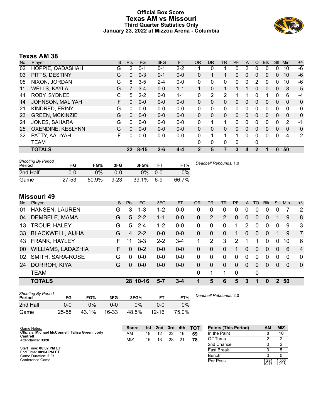#### **Official Box Score Texas AM vs Missouri Third Quarter Statistics Only January 23, 2022 at Mizzou Arena - Columbia**



# **Texas AM 38**

| No. | Plaver                 | S | <b>Pts</b>      | <b>FG</b> | 3FG     | <b>FT</b> | <b>OR</b>    | <b>DR</b>    | TR | PF       | A        | TO           | <b>B</b> lk | <b>Stl</b>   | Min          | $+/-$ |
|-----|------------------------|---|-----------------|-----------|---------|-----------|--------------|--------------|----|----------|----------|--------------|-------------|--------------|--------------|-------|
| 02  | HOPPIE, QADASHAH       | G | 2               | 0-1       | $0 - 1$ | $2 - 2$   |              | 0            |    | 0        |          | 0            | 0           | 0            | 10           | -6    |
| 03  | PITTS, DESTINY         | G | 0               | $0 - 3$   | $0 - 1$ | $0 - 0$   | 0            |              | 1  | 0        | $\Omega$ | 0            | 0           | $\Omega$     | 10           | -6    |
| 05  | NIXON, JORDAN          | G | 8               | $3-5$     | $2 - 4$ | $0 - 0$   | 0            | 0            | 0  | 0        | 0        | 2            | 0           | 0            | 10           | -6    |
| 11  | <b>WELLS, KAYLA</b>    | G |                 | $3 - 4$   | $0 - 0$ | $1 - 1$   | 1            | 0            | 1  |          |          | 0            | 0           | $\Omega$     | 8            | $-5$  |
| 44  | <b>ROBY, SYDNEE</b>    | C | 5               | $2 - 2$   | $0 - 0$ | $1 - 1$   | 0            | 2            | 2  |          |          | $\Omega$     | 1           | 0            | 6            | -4    |
| 14  | JOHNSON, MALIYAH       | F | 0               | $0 - 0$   | $0 - 0$ | $0 - 0$   | 0            | $\mathbf{0}$ | 0  | 0        | $\Omega$ | 0            | 0           | $\mathbf{0}$ | $\mathbf{0}$ | 0     |
| 21  | <b>KINDRED, ERINY</b>  | G | 0               | $0 - 0$   | $0 - 0$ | $0 - 0$   | 0            | 0            | 0  | 0        | $\Omega$ | 0            | 0           | 0            | 0            | 0     |
| 23  | <b>GREEN, MCKINZIE</b> | G | 0               | $0 - 0$   | $0 - 0$ | $0 - 0$   | $\Omega$     | $\Omega$     | 0  | 0        | $\Omega$ | 0            | 0           | $\Omega$     | $\Omega$     | 0     |
| 24  | JONES, SAHARA          | G | 0               | $0 - 0$   | $0 - 0$ | $0 - 0$   | $\mathbf{0}$ |              | 1  | 0        | $\Omega$ | 0            | 0           | 0            | 2            | -1    |
| 25  | OXENDINE, KESLYNN      | G | 0               | $0 - 0$   | $0 - 0$ | $0 - 0$   | $\Omega$     | $\Omega$     | 0  | $\Omega$ | $\Omega$ | 0            | $\Omega$    | $\Omega$     | $\Omega$     | 0     |
| 32  | PATTY, AALIYAH         | F | 0               | $0 - 0$   | $0-0$   | $0 - 0$   | $\Omega$     | 1            | 1  | 1        | $\Omega$ | 0            | 0           | $\Omega$     | 4            | $-2$  |
|     | TEAM                   |   |                 |           |         |           | $\Omega$     | 0            | 0  | 0        |          | 0            |             |              |              |       |
|     | <b>TOTALS</b>          |   | 22 <sub>2</sub> | $8 - 15$  | $2 - 6$ | 4-4       | 2            | 5            |    | 3        | 4        | $\mathbf{2}$ |             | 0            | 50           |       |

| <b>Shooting By Period</b><br>Period | FG        | FG%   | 3FG      | 3FG%  | FТ    | FT%   | Deadball Rebounds: 1,0 |
|-------------------------------------|-----------|-------|----------|-------|-------|-------|------------------------|
| 2nd Half                            | 0-0       | 0%    | 0-0      | 0%    | $0-0$ | 0%    |                        |
| Game                                | $27 - 53$ | 50.9% | $9 - 23$ | 39.1% | $6-9$ | 66.7% |                        |

# **Missouri 49**

Game Notes: Officials: **Michael McConnell, Talisa Green, Jody**

**Cantrell** Attendance: **3320**

Start Time: **06:02 PM ET** End Time: **08:04 PM ET** Game Duration: **2:01** Conference Game;

| No. | Player                  | S  | <b>Pts</b> | FG.      | 3FG     | <b>FT</b> | OR       | <b>DR</b>    | TR       | <b>PF</b> | A              | TO       | <b>Blk</b> | Stl         | Min      | $+/-$          |
|-----|-------------------------|----|------------|----------|---------|-----------|----------|--------------|----------|-----------|----------------|----------|------------|-------------|----------|----------------|
| 01  | HANSEN, LAUREN          | G  | 3          | 1-3      | $1 - 2$ | $0 - 0$   | 0        | 0            | $\Omega$ | 0         | 0              | 0        | 0          |             |          | 2              |
| 04  | DEMBELE, MAMA           | G  | 5          | $2 - 2$  | $1 - 1$ | $0-0$     | $\Omega$ | 2            | 2        | 0         | 0              | 0        | 0          |             | 9        | 8              |
| 13  | <b>TROUP, HALEY</b>     | G  | 5          | $2 - 4$  | $1 - 2$ | $0-0$     | $\Omega$ | 0            | $\Omega$ | 1.        | 2              | $\Omega$ | 0          | $\mathbf 0$ | 9        | 3              |
| 33  | <b>BLACKWELL, AIJHA</b> | G  | 4          | $2 - 2$  | $0 - 0$ | $0-0$     | $\Omega$ | $\Omega$     | $\Omega$ | 1.        | $\Omega$       | $\Omega$ | 0          |             | 9        | $\overline{7}$ |
| 43  | FRANK, HAYLEY           | F. | 11         | $3 - 3$  | $2 - 2$ | $3 - 4$   |          | 2            | 3        | 2         |                |          | 0          | $\Omega$    | 10       | 6              |
| 00  | WILLIAMS, LADAZHIA      | F  | 0          | $0 - 2$  | $0 - 0$ | $0-0$     | $\Omega$ | 0            | $\Omega$ | 1         | $\Omega$       | $\Omega$ | 0          | $\Omega$    | 6        | $\overline{4}$ |
| 02  | SMITH, SARA-ROSE        | G  | 0          | $0 - 0$  | $0-0$   | $0-0$     | $\Omega$ | 0            | $\Omega$ | $\Omega$  | $\Omega$       | 0        | 0          | $\Omega$    | 0        | $\mathbf 0$    |
| 24  | DORROH, KIYA            | G  | $\Omega$   | $0 - 0$  | $0 - 0$ | $0-0$     | $\Omega$ | $\mathbf{0}$ | $\Omega$ | $\Omega$  | $\overline{0}$ | $\Omega$ | 0          | $\Omega$    | $\Omega$ | $\overline{0}$ |
|     | <b>TEAM</b>             |    |            |          |         |           | 0        | 1            | 1        | 0         |                | 0        |            |             |          |                |
|     | <b>TOTALS</b>           |    |            | 28 10-16 | 5-7     | 3-4       |          | 5            | 6        | 5         | 3              | 1        | 0          | 2           | 50       |                |
|     |                         |    |            |          |         |           |          |              |          |           |                |          |            |             |          |                |

| <b>Shooting By Period</b><br>Period | FG    | FG%   | 3FG   | 3FG%  |           | FT%   | Deadball Rebounds: 2.0 |
|-------------------------------------|-------|-------|-------|-------|-----------|-------|------------------------|
| 2nd Half                            | 0-0   | 0%    | 0-0   | ጋ%    | 0-0       | 0%    |                        |
| Game                                | 25-58 | 43.1% | 16-33 | 48.5% | $12 - 16$ | 75.0% |                        |

**Score 1st 2nd 3rd 4th TOT** AM 19 12 22 16 **69** MIZ 16 13 28 21 **78 Points (This Period) AM MIZ** In the Paint 8 10<br>
Off Turns 2 2 Off Turns 2 2 2nd Chance 0 2 Fast Break 0 5 Bench 0 0 Per Poss

 $\frac{1}{1.294}$ <br>10/17 1.556 12/18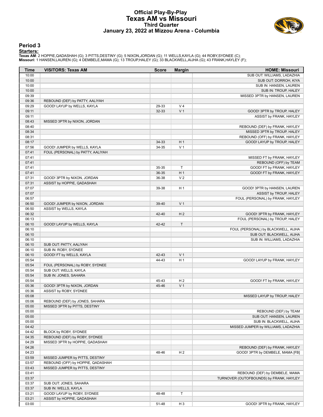#### **Official Play-By-Play Texas AM vs Missouri Third Quarter January 23, 2022 at Mizzou Arena - Columbia**



#### **Period 3**

<mark>Startersː</mark><br>Texas AM: 2 HOPPIE,QADASHAH (G); 3 PITTS,DESTINY (G); 5 NIXON,JORDAN (G); 11 WELLS,KAYLA (G); 44 ROBY,SYDNEE (C);<br>Missouri: 1 HANSEN,LAUREN (G); 4 DEMBELE,MAMA (G); 13 TROUP,HALEY (G); 33 BLACKWELL,AIJHA (G);

| Time           | <b>VISITORS: Texas AM</b>         | <b>Score</b> | <b>Margin</b>       | <b>HOME: Missouri</b>                                      |
|----------------|-----------------------------------|--------------|---------------------|------------------------------------------------------------|
| 10:00          |                                   |              |                     | SUB OUT: WILLIAMS, LADAZHIA                                |
| 10:00          |                                   |              |                     | SUB OUT: DORROH, KIYA                                      |
| 10:00          |                                   |              |                     | SUB IN: HANSEN, LAUREN                                     |
| 10:00          |                                   |              |                     | SUB IN: TROUP, HALEY                                       |
| 09:39          |                                   |              |                     | MISSED 3PTR by HANSEN, LAUREN                              |
| 09:36          | REBOUND (DEF) by PATTY, AALIYAH   |              |                     |                                                            |
| 09:29          | GOOD! LAYUP by WELLS, KAYLA       | 29-33        | V <sub>4</sub>      |                                                            |
| 09:11          |                                   | 32-33        | V <sub>1</sub>      | GOOD! 3PTR by TROUP, HALEY                                 |
| 09:11          |                                   |              |                     | ASSIST by FRANK, HAYLEY                                    |
| 08:43          | MISSED 3PTR by NIXON, JORDAN      |              |                     |                                                            |
| 08:40          |                                   |              |                     | REBOUND (DEF) by FRANK, HAYLEY                             |
| 08:34          |                                   |              |                     | MISSED 3PTR by TROUP, HALEY                                |
| 08:31          |                                   |              |                     | REBOUND (OFF) by FRANK, HAYLEY                             |
| 08:17          |                                   | 34-33        | H <sub>1</sub>      | GOOD! LAYUP by TROUP, HALEY                                |
| 07:56          | GOOD! JUMPER by WELLS, KAYLA      | 34-35        | V <sub>1</sub>      |                                                            |
| 07:41          | FOUL (PERSONAL) by PATTY, AALIYAH |              |                     |                                                            |
| 07:41          |                                   |              |                     | MISSED FT by FRANK, HAYLEY                                 |
| 07:41          |                                   |              |                     | REBOUND (OFF) by TEAM                                      |
| 07:41          |                                   | 35-35        | T<br>H <sub>1</sub> | GOOD! FT by FRANK, HAYLEY                                  |
| 07:41          |                                   | 36-35        | V <sub>2</sub>      | GOOD! FT by FRANK, HAYLEY                                  |
| 07:31          | GOOD! 3PTR by NIXON, JORDAN       | 36-38        |                     |                                                            |
| 07:31<br>07:07 | ASSIST by HOPPIE, QADASHAH        |              |                     |                                                            |
|                |                                   | 39-38        | H <sub>1</sub>      | GOOD! 3PTR by HANSEN, LAUREN                               |
| 07:07          |                                   |              |                     | ASSIST by TROUP, HALEY<br>FOUL (PERSONAL) by FRANK, HAYLEY |
| 06:57          | GOOD! JUMPER by NIXON, JORDAN     |              | V <sub>1</sub>      |                                                            |
| 06:50<br>06:50 | ASSIST by WELLS, KAYLA            | 39-40        |                     |                                                            |
| 06:32          |                                   | 42-40        | H <sub>2</sub>      | GOOD! 3PTR by FRANK, HAYLEY                                |
| 06:13          |                                   |              |                     | FOUL (PERSONAL) by TROUP, HALEY                            |
| 06:10          | GOOD! LAYUP by WELLS, KAYLA       | 42-42        | $\top$              |                                                            |
| 06:10          |                                   |              |                     | FOUL (PERSONAL) by BLACKWELL, AIJHA                        |
| 06:10          |                                   |              |                     | SUB OUT: BLACKWELL, AIJHA                                  |
| 06:10          |                                   |              |                     | SUB IN: WILLIAMS, LADAZHIA                                 |
| 06:10          | SUB OUT: PATTY, AALIYAH           |              |                     |                                                            |
| 06:10          | SUB IN: ROBY, SYDNEE              |              |                     |                                                            |
| 06:10          | GOOD! FT by WELLS, KAYLA          | 42-43        | V <sub>1</sub>      |                                                            |
| 05:54          |                                   | 44-43        | H <sub>1</sub>      | GOOD! LAYUP by FRANK, HAYLEY                               |
| 05:54          | FOUL (PERSONAL) by ROBY, SYDNEE   |              |                     |                                                            |
| 05:54          | SUB OUT: WELLS, KAYLA             |              |                     |                                                            |
| 05:54          | SUB IN: JONES, SAHARA             |              |                     |                                                            |
| 05:54          |                                   | 45-43        | H <sub>2</sub>      | GOOD! FT by FRANK, HAYLEY                                  |
| 05:36          | GOOD! 3PTR by NIXON, JORDAN       | 45-46        | V <sub>1</sub>      |                                                            |
| 05:36          | ASSIST by ROBY, SYDNEE            |              |                     |                                                            |
| 05:08          |                                   |              |                     | MISSED LAYUP by TROUP, HALEY                               |
| 05:06          | REBOUND (DEF) by JONES, SAHARA    |              |                     |                                                            |
| 05:00          | MISSED 3PTR by PITTS, DESTINY     |              |                     |                                                            |
| 05:00          |                                   |              |                     | REBOUND (DEF) by TEAM                                      |
| 05:00          |                                   |              |                     | SUB OUT: HANSEN, LAUREN                                    |
| 05:00          |                                   |              |                     | SUB IN: BLACKWELL, AIJHA                                   |
| 04:42          |                                   |              |                     | MISSED JUMPER by WILLIAMS, LADAZHIA                        |
| 04:42          | BLOCK by ROBY, SYDNEE             |              |                     |                                                            |
| 04:35          | REBOUND (DEF) by ROBY, SYDNEE     |              |                     |                                                            |
| 04:29          | MISSED 3PTR by HOPPIE, QADASHAH   |              |                     |                                                            |
| 04:26          |                                   |              |                     | REBOUND (DEF) by FRANK, HAYLEY                             |
| 04:23          |                                   | 48-46        | H <sub>2</sub>      | GOOD! 3PTR by DEMBELE, MAMA [FB]                           |
| 03:59          | MISSED JUMPER by PITTS, DESTINY   |              |                     |                                                            |
| 03:57          | REBOUND (OFF) by HOPPIE, QADASHAH |              |                     |                                                            |
| 03:43          | MISSED JUMPER by PITTS, DESTINY   |              |                     |                                                            |
| 03:41          |                                   |              |                     | REBOUND (DEF) by DEMBELE, MAMA                             |
| 03:37          |                                   |              |                     | TURNOVER (OUTOFBOUNDS) by FRANK, HAYLEY                    |
| 03:37          | SUB OUT: JONES, SAHARA            |              |                     |                                                            |
| 03:37          | SUB IN: WELLS, KAYLA              |              |                     |                                                            |
| 03:21          | GOOD! LAYUP by ROBY, SYDNEE       | 48-48        | T                   |                                                            |
| 03:21          | ASSIST by HOPPIE, QADASHAH        |              |                     |                                                            |
| 03:00          |                                   | 51-48        | $H_3$               | GOOD! 3PTR by FRANK, HAYLEY                                |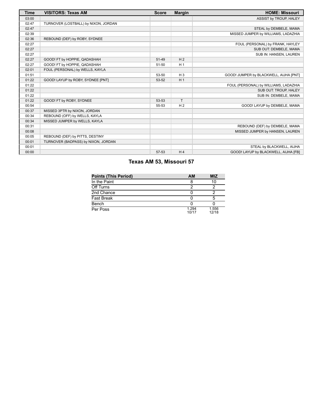| <b>Time</b> | <b>VISITORS: Texas AM</b>            | <b>Score</b> | <b>Margin</b>  | <b>HOME: Missouri</b>                  |
|-------------|--------------------------------------|--------------|----------------|----------------------------------------|
| 03:00       |                                      |              |                | ASSIST by TROUP, HALEY                 |
| 02:47       | TURNOVER (LOSTBALL) by NIXON, JORDAN |              |                |                                        |
| 02:47       |                                      |              |                | STEAL by DEMBELE, MAMA                 |
| 02:39       |                                      |              |                | MISSED JUMPER by WILLIAMS, LADAZHIA    |
| 02:36       | REBOUND (DEF) by ROBY, SYDNEE        |              |                |                                        |
| 02:27       |                                      |              |                | FOUL (PERSONAL) by FRANK, HAYLEY       |
| 02:27       |                                      |              |                | SUB OUT: DEMBELE, MAMA                 |
| 02:27       |                                      |              |                | SUB IN: HANSEN, LAUREN                 |
| 02:27       | GOOD! FT by HOPPIE, QADASHAH         | 51-49        | H <sub>2</sub> |                                        |
| 02:27       | GOOD! FT by HOPPIE, QADASHAH         | 51-50        | H <sub>1</sub> |                                        |
| 02:01       | FOUL (PERSONAL) by WELLS, KAYLA      |              |                |                                        |
| 01:51       |                                      | 53-50        | $H_3$          | GOOD! JUMPER by BLACKWELL, AIJHA [PNT] |
| 01:22       | GOOD! LAYUP by ROBY, SYDNEE [PNT]    | 53-52        | H <sub>1</sub> |                                        |
| 01:22       |                                      |              |                | FOUL (PERSONAL) by WILLIAMS, LADAZHIA  |
| 01:22       |                                      |              |                | SUB OUT: TROUP, HALEY                  |
| 01:22       |                                      |              |                | SUB IN: DEMBELE, MAMA                  |
| 01:22       | GOOD! FT by ROBY, SYDNEE             | 53-53        | T              |                                        |
| 00:54       |                                      | 55-53        | H <sub>2</sub> | GOOD! LAYUP by DEMBELE, MAMA           |
| 00:37       | MISSED 3PTR by NIXON, JORDAN         |              |                |                                        |
| 00:34       | REBOUND (OFF) by WELLS, KAYLA        |              |                |                                        |
| 00:34       | MISSED JUMPER by WELLS, KAYLA        |              |                |                                        |
| 00:31       |                                      |              |                | REBOUND (DEF) by DEMBELE, MAMA         |
| 00:08       |                                      |              |                | MISSED JUMPER by HANSEN, LAUREN        |
| 00:05       | REBOUND (DEF) by PITTS, DESTINY      |              |                |                                        |
| 00:01       | TURNOVER (BADPASS) by NIXON, JORDAN  |              |                |                                        |
| 00:01       |                                      |              |                | STEAL by BLACKWELL, AIJHA              |
| 00:00       |                                      | 57-53        | H <sub>4</sub> | GOOD! LAYUP by BLACKWELL, AIJHA [FB]   |

# **Texas AM 53, Missouri 57**

| <b>Points (This Period)</b> | AM             | <b>MIZ</b>     |
|-----------------------------|----------------|----------------|
| In the Paint                |                | 10             |
| Off Turns                   |                |                |
| 2nd Chance                  |                |                |
| Fast Break                  |                |                |
| Bench                       |                |                |
| Per Poss                    | 1.294<br>10/17 | 1.556<br>12/18 |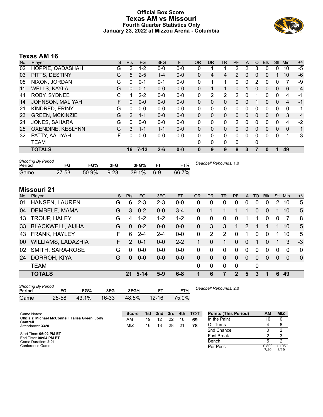### **Official Box Score Texas AM vs Missouri Fourth Quarter Statistics Only January 23, 2022 at Mizzou Arena - Columbia**



# **Texas AM 16**

| No. | Plaver                 | S | <b>Pts</b>    | <b>FG</b> | 3FG     | <b>FT</b> | <b>OR</b>    | DR            | <b>TR</b> | <b>PF</b>    | A        | TO       | <b>BIK</b> | <b>Stl</b>   | Min            | $+/-$ |
|-----|------------------------|---|---------------|-----------|---------|-----------|--------------|---------------|-----------|--------------|----------|----------|------------|--------------|----------------|-------|
| 02  | HOPPIE, QADASHAH       | G | 2             | $1 - 2$   | $0 - 0$ | $0-0$     | 0            |               |           | 2            | 2        | 3        | 0          | 0            | 10             | $-5$  |
| 03  | PITTS, DESTINY         | G | 5             | $2 - 5$   | $1 - 4$ | $0 - 0$   | $\mathbf{0}$ | 4             | 4         | 2            | $\Omega$ | $\Omega$ | 0          |              | 10             | -6    |
| 05  | NIXON, JORDAN          | G | 0             | $0 - 1$   | $0 - 1$ | $0-0$     | 0            |               |           | 0            | 0        | 2        | 0          | 0            |                | -9    |
| 11  | <b>WELLS, KAYLA</b>    | G | $\Omega$      | $0 - 1$   | $0 - 0$ | $0 - 0$   | $\Omega$     |               | 1         | 0            |          | 0        | 0          | 0            | 6              | $-4$  |
| 44  | ROBY, SYDNEE           | C | 4             | $2 - 2$   | $0 - 0$ | $0 - 0$   | 0            | $\mathcal{P}$ | 2         | 2            | 0        |          | 0          | $\Omega$     | 4              | $-1$  |
| 14  | JOHNSON, MALIYAH       | F | $\mathbf{0}$  | $0 - 0$   | $0 - 0$ | $0 - 0$   | $\mathbf{0}$ | 0             | 0         | 0            | $\Omega$ |          | $\Omega$   | 0            | $\overline{4}$ | $-1$  |
| 21  | KINDRED, ERINY         | G | 0             | $0 - 0$   | $0 - 0$ | $0 - 0$   | $\Omega$     | 0             | 0         | 0            | 0        | 0        | 0          | 0            | $\Omega$       | 1     |
| 23  | <b>GREEN, MCKINZIE</b> | G | $\mathcal{P}$ | $1 - 1$   | $0 - 0$ | $0 - 0$   | $\Omega$     | $\Omega$      | $\Omega$  | $\Omega$     | 0        | $\Omega$ | $\Omega$   | $\Omega$     | 3              | 4     |
| 24  | <b>JONES, SAHARA</b>   | G | $\Omega$      | $0 - 0$   | $0 - 0$ | $0 - 0$   | $\Omega$     | 0             | 0         | 2            | 0        | $\Omega$ | 0          | $\Omega$     | 4              | $-2$  |
| 25  | OXENDINE, KESLYNN      | G | 3             | $1 - 1$   | $1 - 1$ | $0 - 0$   | $\Omega$     | $\Omega$      | 0         | 0            | 0        | $\Omega$ | $\Omega$   | $\mathbf{0}$ | $\mathbf{0}$   | 1     |
| 32  | PATTY, AALIYAH         | F | 0             | $0 - 0$   | $0-0$   | $0 - 0$   | $\Omega$     | 0             | 0         | $\Omega$     | $\Omega$ | $\Omega$ | 0          | $\Omega$     |                | -3    |
|     | TEAM                   |   |               |           |         |           | $\Omega$     | 0             | 0         | $\mathbf{0}$ |          | 0        |            |              |                |       |
|     | <b>TOTALS</b>          |   | 16            | 7-13      | $2 - 6$ | $0 - 0$   | 0            | 9             | 9         | 8            | 3        |          | 0          | 1            | 49             |       |

| <b>Shooting By Period</b><br>Period | FG        | FG%   | 3FG      | 3FG%     |     | FT%   | Deadball Rebounds: 1,0 |
|-------------------------------------|-----------|-------|----------|----------|-----|-------|------------------------|
| Game                                | $27 - 53$ | 50.9% | $9 - 23$ | $39.1\%$ | 6-9 | 66.7% |                        |

# **Missouri 21**

| No. | Player                    | S. | <b>Pts</b> | <b>FG</b> | 3FG     | <b>FT</b> | <b>OR</b> | <b>DR</b> | <b>TR</b>      | <b>PF</b>    | A        | TO       | <b>B</b> lk | <b>Stl</b> | Min      | $+/-$       |
|-----|---------------------------|----|------------|-----------|---------|-----------|-----------|-----------|----------------|--------------|----------|----------|-------------|------------|----------|-------------|
| 01  | HANSEN, LAUREN            | G  | 6          | $2 - 3$   | $2 - 3$ | $0 - 0$   | 0         | 0         | 0              | 0            | 0        | 0        | 0           | 2          | 10       | 5           |
| 04  | DEMBELE, MAMA             | G  | 3          | $0 - 2$   | $0-0$   | 3-4       | $\Omega$  |           |                | 1            |          | 0        | 0           |            | 10       | 5           |
| 13  | <b>TROUP, HALEY</b>       | G  | 4          | $1 - 2$   | $1 - 2$ | $1 - 2$   | 0         | 0         | $\Omega$       | 0            |          |          | $\Omega$    | 0          | 7        | 8           |
| 33  | <b>BLACKWELL, AIJHA</b>   | G  | $\Omega$   | $0 - 2$   | $0 - 0$ | $0 - 0$   | $\Omega$  | 3         | 3              | 1            | 2        |          |             | 1.         | 10       | 5           |
| 43  | FRANK, HAYLEY             | F. | 6          | $2 - 4$   | $2 - 4$ | $0-0$     | $\Omega$  | 2         | $\overline{2}$ | 0            | 1        | $\Omega$ | $\Omega$    |            | 10       | 5           |
| 00  | <b>WILLIAMS, LADAZHIA</b> | F. | 2          | $0 - 1$   | $0 - 0$ | $2 - 2$   |           | $\Omega$  |                | $\Omega$     | $\Omega$ |          | $\Omega$    |            | 3        | -3          |
| 02  | SMITH, SARA-ROSE          | G  | $\Omega$   | $0 - 0$   | $0 - 0$ | $0-0$     | $\Omega$  | $\Omega$  | $\Omega$       | $\Omega$     | $\Omega$ | $\Omega$ | $\Omega$    | $\Omega$   | $\Omega$ | 0           |
| 24  | DORROH, KIYA              | G  | $\Omega$   | $0 - 0$   | $0 - 0$ | $0 - 0$   | $\Omega$  | 0         | $\Omega$       | $\Omega$     | $\Omega$ | $\Omega$ | $\Omega$    | $\Omega$   | $\Omega$ | $\mathbf 0$ |
|     | <b>TEAM</b>               |    |            |           |         |           | 0         | 0         | $\Omega$       | $\mathbf 0$  |          | 0        |             |            |          |             |
|     | <b>TOTALS</b>             |    | 21         | $5 - 14$  | $5-9$   | $6 - 8$   | 1         | 6         | 7              | $\mathbf{P}$ | 5        | 3        | 1           | 6          | 49       |             |
|     |                           |    |            |           |         |           |           |           |                |              |          |          |             |            |          |             |

| <b>Shooting By Period</b><br>Period | FG    | FG%   | 3FG       | 3FG%  | FТ        | FT%   | Deadball Rebounds: 2,0 |
|-------------------------------------|-------|-------|-----------|-------|-----------|-------|------------------------|
| Game                                | 25-58 | 43.1% | $16 - 33$ | 48.5% | $12 - 16$ | 75.0% |                        |

| Game Notes:                                                  | <b>Score</b> |    | 1st 2nd | $\overline{\phantom{a}}$ 3rd | $-4th$ | <b>- тот</b> | <b>Points (This Period)</b> | AМ            | <b>MIZ</b>    |
|--------------------------------------------------------------|--------------|----|---------|------------------------------|--------|--------------|-----------------------------|---------------|---------------|
| Officials: Michael McConnell, Talisa Green, Jody<br>Cantrell | AM           | 19 | 12      | 22                           | 16     | 69           | In the Paint                | 10            |               |
| Attendance: 3320                                             | MIZ          | 16 | 13      | 28                           |        | 78           | Off Turns                   |               |               |
|                                                              |              |    |         |                              |        |              | 2nd Chance                  |               |               |
| Start Time: 06:02 PM ET<br>End Time: 08:04 PM ET             |              |    |         |                              |        |              | <b>Fast Break</b>           |               |               |
| Game Duration: 2:01                                          |              |    |         |                              |        |              | Bench                       |               |               |
| Conference Game:                                             |              |    |         |                              |        |              | Per Poss                    | 0.800<br>7/20 | 1.105<br>8/19 |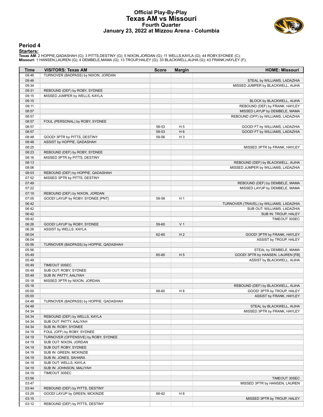#### **Official Play-By-Play Texas AM vs Missouri Fourth Quarter January 23, 2022 at Mizzou Arena - Columbia**



#### **Period 4**

<mark>Startersː</mark><br>Texas AM: 2 HOPPIE,QADASHAH (G); 3 PITTS,DESTINY (G); 5 NIXON,JORDAN (G); 11 WELLS,KAYLA (G); 44 ROBY,SYDNEE (C);<br>Missouri: 1 HANSEN,LAUREN (G); 4 DEMBELE,MAMA (G); 13 TROUP,HALEY (G); 33 BLACKWELL,AIJHA (G);

| Time  | <b>VISITORS: Texas AM</b>                                           | <b>Score</b> | <b>Margin</b>  | <b>HOME: Missouri</b>                   |
|-------|---------------------------------------------------------------------|--------------|----------------|-----------------------------------------|
| 09:46 | TURNOVER (BADPASS) by NIXON, JORDAN                                 |              |                |                                         |
| 09:46 |                                                                     |              |                | STEAL by WILLIAMS, LADAZHIA             |
| 09:34 |                                                                     |              |                | MISSED JUMPER by BLACKWELL, AIJHA       |
| 09:31 | REBOUND (DEF) by ROBY, SYDNEE                                       |              |                |                                         |
| 09:15 | MISSED JUMPER by WELLS, KAYLA                                       |              |                |                                         |
| 09:15 |                                                                     |              |                | BLOCK by BLACKWELL, AIJHA               |
| 09:11 |                                                                     |              |                | REBOUND (DEF) by FRANK, HAYLEY          |
| 08:57 |                                                                     |              |                | MISSED LAYUP by DEMBELE, MAMA           |
| 08:57 |                                                                     |              |                | REBOUND (OFF) by WILLIAMS, LADAZHIA     |
| 08:57 | FOUL (PERSONAL) by ROBY, SYDNEE                                     |              |                |                                         |
| 08:57 |                                                                     | 58-53        | H <sub>5</sub> | GOOD! FT by WILLIAMS, LADAZHIA          |
| 08:57 |                                                                     | 59-53        | H <sub>6</sub> | GOOD! FT by WILLIAMS, LADAZHIA          |
| 08:48 | GOOD! 3PTR by PITTS, DESTINY                                        | 59-56        | $H_3$          |                                         |
| 08:48 | ASSIST by HOPPIE, QADASHAH                                          |              |                |                                         |
| 08:25 |                                                                     |              |                | MISSED 3PTR by FRANK, HAYLEY            |
| 08:23 | REBOUND (DEF) by ROBY, SYDNEE                                       |              |                |                                         |
| 08:16 | MISSED 3PTR by PITTS, DESTINY                                       |              |                |                                         |
| 08:13 |                                                                     |              |                | REBOUND (DEF) by BLACKWELL, AIJHA       |
| 08:06 |                                                                     |              |                | MISSED JUMPER by WILLIAMS, LADAZHIA     |
| 08:03 | REBOUND (DEF) by HOPPIE, QADASHAH                                   |              |                |                                         |
| 07:52 | MISSED 3PTR by PITTS, DESTINY                                       |              |                |                                         |
| 07:49 |                                                                     |              |                | REBOUND (DEF) by DEMBELE, MAMA          |
| 07:22 |                                                                     |              |                | MISSED LAYUP by DEMBELE, MAMA           |
| 07:19 |                                                                     |              |                |                                         |
| 07:05 | REBOUND (DEF) by NIXON, JORDAN<br>GOOD! LAYUP by ROBY, SYDNEE [PNT] | 59-58        | H <sub>1</sub> |                                         |
| 06:42 |                                                                     |              |                | TURNOVER (TRAVEL) by WILLIAMS, LADAZHIA |
|       |                                                                     |              |                |                                         |
| 06:42 |                                                                     |              |                | SUB OUT: WILLIAMS, LADAZHIA             |
| 06:42 |                                                                     |              |                | SUB IN: TROUP, HALEY                    |
| 06:42 |                                                                     |              |                | TIMEOUT 30SEC                           |
| 06:26 | GOOD! LAYUP by ROBY, SYDNEE                                         | 59-60        | V <sub>1</sub> |                                         |
| 06:26 | ASSIST by WELLS, KAYLA                                              |              |                |                                         |
| 06:04 |                                                                     | 62-60        | H <sub>2</sub> | GOOD! 3PTR by FRANK, HAYLEY             |
| 06:04 |                                                                     |              |                | ASSIST by TROUP, HALEY                  |
| 05:56 | TURNOVER (BADPASS) by HOPPIE, QADASHAH                              |              |                |                                         |
| 05:56 |                                                                     |              |                | STEAL by DEMBELE, MAMA                  |
| 05:49 |                                                                     | 65-60        | H <sub>5</sub> | GOOD! 3PTR by HANSEN, LAUREN [FB]       |
| 05:49 |                                                                     |              |                | ASSIST by BLACKWELL, AIJHA              |
| 05:49 | TIMEOUT 30SEC                                                       |              |                |                                         |
| 05:49 | SUB OUT: ROBY, SYDNEE                                               |              |                |                                         |
| 05:49 | SUB IN: PATTY, AALIYAH                                              |              |                |                                         |
| 05:18 | MISSED 3PTR by NIXON, JORDAN                                        |              |                |                                         |
| 05:18 |                                                                     |              |                | REBOUND (DEF) by BLACKWELL, AIJHA       |
| 05:00 |                                                                     | 68-60        | H <sub>8</sub> | GOOD! 3PTR by TROUP, HALEY              |
| 05:00 |                                                                     |              |                | ASSIST by FRANK, HAYLEY                 |
| 04:48 | TURNOVER (BADPASS) by HOPPIE, QADASHAH                              |              |                |                                         |
| 04:48 |                                                                     |              |                | STEAL by BLACKWELL, AIJHA               |
| 04:34 |                                                                     |              |                | MISSED 3PTR by FRANK, HAYLEY            |
| 04:34 | REBOUND (DEF) by WELLS, KAYLA                                       |              |                |                                         |
| 04:34 | SUB OUT: PATTY, AALIYAH                                             |              |                |                                         |
| 04:34 | SUB IN: ROBY, SYDNEE                                                |              |                |                                         |
| 04:19 | FOUL (OFF) by ROBY, SYDNEE                                          |              |                |                                         |
| 04:19 | TURNOVER (OFFENSIVE) by ROBY, SYDNEE                                |              |                |                                         |
| 04:19 | SUB OUT: NIXON, JORDAN                                              |              |                |                                         |
| 04:19 | SUB OUT: ROBY, SYDNEE                                               |              |                |                                         |
| 04:19 | SUB IN: GREEN, MCKINZIE                                             |              |                |                                         |
| 04:19 | SUB IN: JONES, SAHARA                                               |              |                |                                         |
| 04:19 | SUB OUT: WELLS, KAYLA                                               |              |                |                                         |
| 04:19 | SUB IN: JOHNSON, MALIYAH                                            |              |                |                                         |
| 04:19 | TIMEOUT 30SEC                                                       |              |                |                                         |
| 03:56 |                                                                     |              |                | TIMEOUT 30SEC                           |
| 03:47 |                                                                     |              |                |                                         |
|       |                                                                     |              |                | MISSED 3PTR by HANSEN, LAUREN           |
| 03:44 | REBOUND (DEF) by PITTS, DESTINY                                     |              |                |                                         |
| 03:29 | GOOD! LAYUP by GREEN, MCKINZIE                                      | 68-62        | H <sub>6</sub> |                                         |
| 03:15 |                                                                     |              |                | MISSED 3PTR by TROUP, HALEY             |
| 03:12 | REBOUND (DEF) by PITTS, DESTINY                                     |              |                |                                         |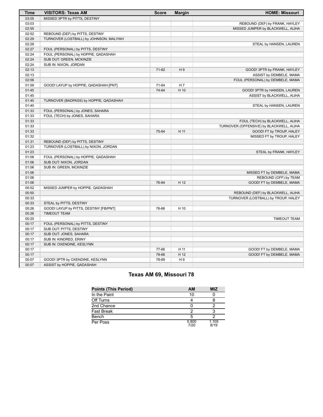| Time  | <b>VISITORS: Texas AM</b>               | <b>Score</b> | <b>Margin</b>  | <b>HOME: Missouri</b>                    |
|-------|-----------------------------------------|--------------|----------------|------------------------------------------|
| 03:05 | MISSED 3PTR by PITTS, DESTINY           |              |                |                                          |
| 03:03 |                                         |              |                | REBOUND (DEF) by FRANK, HAYLEY           |
| 02:55 |                                         |              |                | MISSED JUMPER by BLACKWELL, AIJHA        |
| 02:52 | REBOUND (DEF) by PITTS, DESTINY         |              |                |                                          |
| 02:29 | TURNOVER (LOSTBALL) by JOHNSON, MALIYAH |              |                |                                          |
| 02:29 |                                         |              |                | STEAL by HANSEN, LAUREN                  |
| 02:27 | FOUL (PERSONAL) by PITTS, DESTINY       |              |                |                                          |
| 02:24 | FOUL (PERSONAL) by HOPPIE, QADASHAH     |              |                |                                          |
| 02:24 | SUB OUT: GREEN, MCKINZIE                |              |                |                                          |
| 02:24 | SUB IN: NIXON, JORDAN                   |              |                |                                          |
| 02:13 |                                         | 71-62        | H <sub>9</sub> | GOOD! 3PTR by FRANK, HAYLEY              |
| 02:13 |                                         |              |                | ASSIST by DEMBELE, MAMA                  |
| 02:06 |                                         |              |                | FOUL (PERSONAL) by DEMBELE, MAMA         |
| 01:59 | GOOD! LAYUP by HOPPIE, QADASHAH [PNT]   | 71-64        | H 7            |                                          |
| 01:45 |                                         | 74-64        | H 10           | GOOD! 3PTR by HANSEN, LAUREN             |
| 01:45 |                                         |              |                | ASSIST by BLACKWELL, AIJHA               |
| 01:40 | TURNOVER (BADPASS) by HOPPIE, QADASHAH  |              |                |                                          |
| 01:40 |                                         |              |                | STEAL by HANSEN, LAUREN                  |
| 01:33 | FOUL (PERSONAL) by JONES, SAHARA        |              |                |                                          |
| 01:33 | FOUL (TECH) by JONES, SAHARA            |              |                |                                          |
| 01:33 |                                         |              |                | FOUL (TECH) by BLACKWELL, AIJHA          |
| 01:33 |                                         |              |                | TURNOVER (OFFENSIVE) by BLACKWELL, AIJHA |
| 01:33 |                                         | 75-64        | H 11           | GOOD! FT by TROUP, HALEY                 |
| 01:32 |                                         |              |                | MISSED FT by TROUP, HALEY                |
| 01:31 | REBOUND (DEF) by PITTS, DESTINY         |              |                |                                          |
| 01:23 | TURNOVER (LOSTBALL) by NIXON, JORDAN    |              |                |                                          |
| 01:23 |                                         |              |                | STEAL by FRANK, HAYLEY                   |
| 01:06 | FOUL (PERSONAL) by HOPPIE, QADASHAH     |              |                |                                          |
| 01:06 | SUB OUT: NIXON, JORDAN                  |              |                |                                          |
| 01:06 | SUB IN: GREEN, MCKINZIE                 |              |                |                                          |
| 01:06 |                                         |              |                | MISSED FT by DEMBELE, MAMA               |
| 01:06 |                                         |              |                | REBOUND (OFF) by TEAM                    |
| 01:06 |                                         | 76-64        | H 12           | GOOD! FT by DEMBELE, MAMA                |
| 00:52 | MISSED JUMPER by HOPPIE, QADASHAH       |              |                |                                          |
| 00:50 |                                         |              |                | REBOUND (DEF) by BLACKWELL, AIJHA        |
| 00:33 |                                         |              |                | TURNOVER (LOSTBALL) by TROUP, HALEY      |
| 00:33 | STEAL by PITTS, DESTINY                 |              |                |                                          |
| 00:26 | GOOD! LAYUP by PITTS, DESTINY [FB/PNT]  | 76-66        | H 10           |                                          |
| 00:26 | <b>TIMEOUT TEAM</b>                     |              |                |                                          |
| 00:20 |                                         |              |                | <b>TIMEOUT TEAM</b>                      |
| 00:17 | FOUL (PERSONAL) by PITTS, DESTINY       |              |                |                                          |
| 00:17 | SUB OUT: PITTS, DESTINY                 |              |                |                                          |
| 00:17 | SUB OUT: JONES, SAHARA                  |              |                |                                          |
| 00:17 | SUB IN: KINDRED, ERINY                  |              |                |                                          |
| 00:17 | SUB IN: OXENDINE, KESLYNN               |              |                |                                          |
| 00:17 |                                         | 77-66        | H 11           | GOOD! FT by DEMBELE, MAMA                |
| 00:17 |                                         | 78-66        | H 12           | GOOD! FT by DEMBELE, MAMA                |
| 00:07 | GOOD! 3PTR by OXENDINE, KESLYNN         | 78-69        | H9             |                                          |
| 00:07 | ASSIST by HOPPIE, QADASHAH              |              |                |                                          |

# **Texas AM 69, Missouri 78**

| <b>Points (This Period)</b> | AM            | <b>MIZ</b>    |
|-----------------------------|---------------|---------------|
| In the Paint                | 10            |               |
| Off Turns                   |               |               |
| 2nd Chance                  |               |               |
| <b>Fast Break</b>           |               |               |
| Bench                       |               |               |
| Per Poss                    | 0.800<br>7/20 | 1.105<br>8/19 |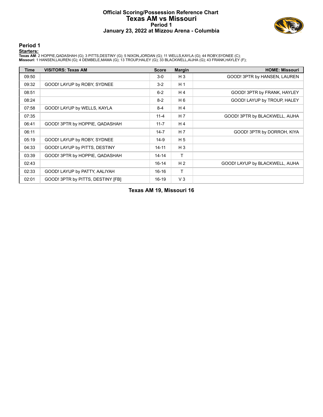#### **Official Scoring/Possession Reference Chart Texas AM vs Missouri Period 1 January 23, 2022 at Mizzou Arena - Columbia**



**Period 1**

<mark>Startersː</mark><br>Texas AM: 2 HOPPIE,QADASHAH (G); 3 PITTS,DESTINY (G); 5 NIXON,JORDAN (G); 11 WELLS,KAYLA (G); 44 ROBY,SYDNEE (C);<br>Missouri: 1 HANSEN,LAUREN (G); 4 DEMBELE,MAMA (G); 13 TROUP,HALEY (G); 33 BLACKWELL,AIJHA (G);

| <b>Time</b> | <b>VISITORS: Texas AM</b>         | <b>Score</b> | <b>Margin</b>  | <b>HOME: Missouri</b>           |
|-------------|-----------------------------------|--------------|----------------|---------------------------------|
| 09:50       |                                   | $3-0$        | $H_3$          | GOOD! 3PTR by HANSEN, LAUREN    |
| 09:32       | GOOD! LAYUP by ROBY, SYDNEE       | $3 - 2$      | H <sub>1</sub> |                                 |
| 08:51       |                                   | $6 - 2$      | H4             | GOOD! 3PTR by FRANK, HAYLEY     |
| 08:24       |                                   | $8 - 2$      | H 6            | GOOD! LAYUP by TROUP, HALEY     |
| 07:58       | GOOD! LAYUP by WELLS, KAYLA       | $8 - 4$      | H <sub>4</sub> |                                 |
| 07:35       |                                   | $11 - 4$     | H <sub>7</sub> | GOOD! 3PTR by BLACKWELL, AIJHA  |
| 06:41       | GOOD! 3PTR by HOPPIE, QADASHAH    | $11 - 7$     | H <sub>4</sub> |                                 |
| 06:11       |                                   | $14 - 7$     | H 7            | GOOD! 3PTR by DORROH, KIYA      |
| 05:19       | GOOD! LAYUP by ROBY, SYDNEE       | $14-9$       | H <sub>5</sub> |                                 |
| 04:33       | GOOD! LAYUP by PITTS, DESTINY     | $14 - 11$    | $H_3$          |                                 |
| 03:39       | GOOD! 3PTR by HOPPIE, QADASHAH    | $14 - 14$    | T.             |                                 |
| 02:43       |                                   | $16 - 14$    | H <sub>2</sub> | GOOD! LAYUP by BLACKWELL, AIJHA |
| 02:33       | GOOD! LAYUP by PATTY, AALIYAH     | $16-16$      | T.             |                                 |
| 02:01       | GOOD! 3PTR by PITTS, DESTINY [FB] | $16-19$      | $V_3$          |                                 |

**Texas AM 19, Missouri 16**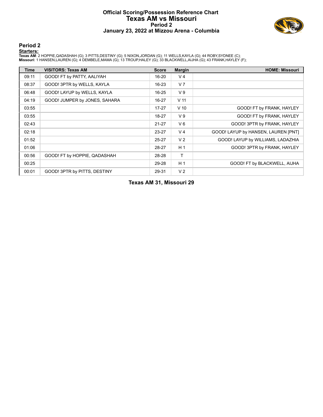#### **Official Scoring/Possession Reference Chart Texas AM vs Missouri Period 2 January 23, 2022 at Mizzou Arena - Columbia**



**Period 2**

<mark>Startersː</mark><br>Texas AM: 2 HOPPIE,QADASHAH (G); 3 PITTS,DESTINY (G); 5 NIXON,JORDAN (G); 11 WELLS,KAYLA (G); 44 ROBY,SYDNEE (C);<br>Missouri: 1 HANSEN,LAUREN (G); 4 DEMBELE,MAMA (G); 13 TROUP,HALEY (G); 33 BLACKWELL,AIJHA (G);

| Time  | <b>VISITORS: Texas AM</b>     | <b>Score</b> | <b>Margin</b>   | <b>HOME: Missouri</b>               |
|-------|-------------------------------|--------------|-----------------|-------------------------------------|
| 09:11 | GOOD! FT by PATTY, AALIYAH    | $16 - 20$    | V <sub>4</sub>  |                                     |
| 08:37 | GOOD! 3PTR by WELLS, KAYLA    | $16 - 23$    | V <sub>7</sub>  |                                     |
| 06:48 | GOOD! LAYUP by WELLS, KAYLA   | $16 - 25$    | V <sub>9</sub>  |                                     |
| 04:19 | GOOD! JUMPER by JONES, SAHARA | 16-27        | V <sub>11</sub> |                                     |
| 03:55 |                               | $17 - 27$    | $V$ 10          | GOOD! FT by FRANK, HAYLEY           |
| 03:55 |                               | 18-27        | V <sub>9</sub>  | GOOD! FT by FRANK, HAYLEY           |
| 02:43 |                               | $21 - 27$    | $V_6$           | GOOD! 3PTR by FRANK, HAYLEY         |
| 02:18 |                               | 23-27        | V <sub>4</sub>  | GOOD! LAYUP by HANSEN, LAUREN [PNT] |
| 01:52 |                               | 25-27        | V <sub>2</sub>  | GOOD! LAYUP by WILLIAMS, LADAZHIA   |
| 01:06 |                               | 28-27        | H <sub>1</sub>  | GOOD! 3PTR by FRANK, HAYLEY         |
| 00:56 | GOOD! FT by HOPPIE, QADASHAH  | 28-28        | $\mathsf{T}$    |                                     |
| 00:25 |                               | 29-28        | H <sub>1</sub>  | GOOD! FT by BLACKWELL, AIJHA        |
| 00:01 | GOOD! 3PTR by PITTS, DESTINY  | 29-31        | V <sub>2</sub>  |                                     |

**Texas AM 31, Missouri 29**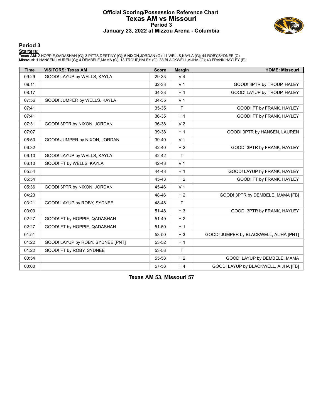#### **Official Scoring/Possession Reference Chart Texas AM vs Missouri Period 3 January 23, 2022 at Mizzou Arena - Columbia**



**Period 3**

<mark>Startersː</mark><br>Texas AM: 2 HOPPIE,QADASHAH (G); 3 PITTS,DESTINY (G); 5 NIXON,JORDAN (G); 11 WELLS,KAYLA (G); 44 ROBY,SYDNEE (C);<br>Missouri: 1 HANSEN,LAUREN (G); 4 DEMBELE,MAMA (G); 13 TROUP,HALEY (G); 33 BLACKWELL,AIJHA (G);

| <b>Time</b> | <b>VISITORS: Texas AM</b>         | <b>Score</b> | <b>Margin</b>  | <b>HOME: Missouri</b>                  |
|-------------|-----------------------------------|--------------|----------------|----------------------------------------|
| 09:29       | GOOD! LAYUP by WELLS, KAYLA       | 29-33        | V <sub>4</sub> |                                        |
| 09:11       |                                   | 32-33        | V <sub>1</sub> | GOOD! 3PTR by TROUP, HALEY             |
| 08:17       |                                   | 34-33        | H <sub>1</sub> | GOOD! LAYUP by TROUP, HALEY            |
| 07:56       | GOOD! JUMPER by WELLS, KAYLA      | 34-35        | V <sub>1</sub> |                                        |
| 07:41       |                                   | 35-35        | $\mathsf{T}$   | GOOD! FT by FRANK, HAYLEY              |
| 07:41       |                                   | 36-35        | H <sub>1</sub> | GOOD! FT by FRANK, HAYLEY              |
| 07:31       | GOOD! 3PTR by NIXON, JORDAN       | 36-38        | V <sub>2</sub> |                                        |
| 07:07       |                                   | 39-38        | H <sub>1</sub> | GOOD! 3PTR by HANSEN, LAUREN           |
| 06:50       | GOOD! JUMPER by NIXON, JORDAN     | 39-40        | V <sub>1</sub> |                                        |
| 06:32       |                                   | 42-40        | H <sub>2</sub> | GOOD! 3PTR by FRANK, HAYLEY            |
| 06:10       | GOOD! LAYUP by WELLS, KAYLA       | 42-42        | $\mathsf{T}$   |                                        |
| 06:10       | GOOD! FT by WELLS, KAYLA          | 42-43        | V <sub>1</sub> |                                        |
| 05:54       |                                   | 44-43        | H <sub>1</sub> | GOOD! LAYUP by FRANK, HAYLEY           |
| 05:54       |                                   | 45-43        | H <sub>2</sub> | GOOD! FT by FRANK, HAYLEY              |
| 05:36       | GOOD! 3PTR by NIXON, JORDAN       | 45-46        | V <sub>1</sub> |                                        |
| 04:23       |                                   | 48-46        | H <sub>2</sub> | GOOD! 3PTR by DEMBELE, MAMA [FB]       |
| 03:21       | GOOD! LAYUP by ROBY, SYDNEE       | 48-48        | T              |                                        |
| 03:00       |                                   | 51-48        | $H_3$          | GOOD! 3PTR by FRANK, HAYLEY            |
| 02:27       | GOOD! FT by HOPPIE, QADASHAH      | 51-49        | H <sub>2</sub> |                                        |
| 02:27       | GOOD! FT by HOPPIE, QADASHAH      | $51 - 50$    | H <sub>1</sub> |                                        |
| 01:51       |                                   | 53-50        | $H_3$          | GOOD! JUMPER by BLACKWELL, AIJHA [PNT] |
| 01:22       | GOOD! LAYUP by ROBY, SYDNEE [PNT] | 53-52        | H <sub>1</sub> |                                        |
| 01:22       | GOOD! FT by ROBY, SYDNEE          | 53-53        | $\mathsf{T}$   |                                        |
| 00:54       |                                   | 55-53        | H <sub>2</sub> | GOOD! LAYUP by DEMBELE, MAMA           |
| 00:00       |                                   | 57-53        | H <sub>4</sub> | GOOD! LAYUP by BLACKWELL, AIJHA [FB]   |

**Texas AM 53, Missouri 57**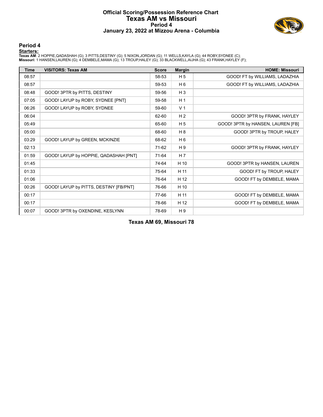#### **Official Scoring/Possession Reference Chart Texas AM vs Missouri Period 4 January 23, 2022 at Mizzou Arena - Columbia**



**Period 4**

<mark>Startersː</mark><br>Texas AM: 2 HOPPIE,QADASHAH (G); 3 PITTS,DESTINY (G); 5 NIXON,JORDAN (G); 11 WELLS,KAYLA (G); 44 ROBY,SYDNEE (C);<br>Missouri: 1 HANSEN,LAUREN (G); 4 DEMBELE,MAMA (G); 13 TROUP,HALEY (G); 33 BLACKWELL,AIJHA (G);

| <b>Time</b> | <b>VISITORS: Texas AM</b>              | <b>Score</b> | <b>Margin</b>  | <b>HOME: Missouri</b>             |
|-------------|----------------------------------------|--------------|----------------|-----------------------------------|
| 08:57       |                                        | 58-53        | H 5            | GOOD! FT by WILLIAMS, LADAZHIA    |
| 08:57       |                                        | 59-53        | $H_6$          | GOOD! FT by WILLIAMS, LADAZHIA    |
| 08:48       | GOOD! 3PTR by PITTS, DESTINY           | 59-56        | $H_3$          |                                   |
| 07:05       | GOOD! LAYUP by ROBY, SYDNEE [PNT]      | 59-58        | H <sub>1</sub> |                                   |
| 06:26       | GOOD! LAYUP by ROBY, SYDNEE            | 59-60        | V <sub>1</sub> |                                   |
| 06:04       |                                        | 62-60        | H <sub>2</sub> | GOOD! 3PTR by FRANK, HAYLEY       |
| 05:49       |                                        | 65-60        | H <sub>5</sub> | GOOD! 3PTR by HANSEN, LAUREN [FB] |
| 05:00       |                                        | 68-60        | H 8            | GOOD! 3PTR by TROUP, HALEY        |
| 03:29       | GOOD! LAYUP by GREEN, MCKINZIE         | 68-62        | H <sub>6</sub> |                                   |
| 02:13       |                                        | 71-62        | H <sub>9</sub> | GOOD! 3PTR by FRANK, HAYLEY       |
| 01:59       | GOOD! LAYUP by HOPPIE, QADASHAH [PNT]  | 71-64        | H <sub>7</sub> |                                   |
| 01:45       |                                        | 74-64        | H 10           | GOOD! 3PTR by HANSEN, LAUREN      |
| 01:33       |                                        | 75-64        | H 11           | GOOD! FT by TROUP, HALEY          |
| 01:06       |                                        | 76-64        | H 12           | GOOD! FT by DEMBELE, MAMA         |
| 00:26       | GOOD! LAYUP by PITTS, DESTINY [FB/PNT] | 76-66        | H 10           |                                   |
| 00:17       |                                        | 77-66        | H 11           | GOOD! FT by DEMBELE, MAMA         |
| 00:17       |                                        | 78-66        | H 12           | GOOD! FT by DEMBELE, MAMA         |
| 00:07       | GOOD! 3PTR by OXENDINE, KESLYNN        | 78-69        | H 9            |                                   |

**Texas AM 69, Missouri 78**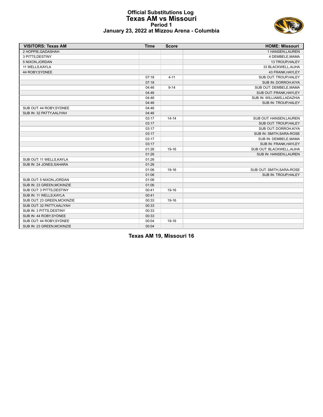#### **Official Substitutions Log Texas AM vs Missouri Period 1 January 23, 2022 at Mizzou Arena - Columbia**



| <b>VISITORS: Texas AM</b>   | <b>Time</b> | <b>Score</b> | <b>HOME: Missouri</b>      |
|-----------------------------|-------------|--------------|----------------------------|
| 2 HOPPIE, QADASHAH          |             |              | 1 HANSEN, LAUREN           |
| 3 PITTS, DESTINY            |             |              | 4 DEMBELE, MAMA            |
| 5 NIXON, JORDAN             |             |              | 13 TROUP, HALEY            |
| 11 WELLS, KAYLA             |             |              | 33 BLACKWELL, AIJHA        |
| 44 ROBY, SYDNEE             |             |              | 43 FRANK, HAYLEY           |
|                             | 07:18       | $4 - 11$     | SUB OUT: TROUP, HALEY      |
|                             | 07:18       |              | SUB IN: DORROH, KIYA       |
|                             | 04:46       | $9 - 14$     | SUB OUT: DEMBELE, MAMA     |
|                             | 04:46       |              | SUB OUT: FRANK, HAYLEY     |
|                             | 04:46       |              | SUB IN: WILLIAMS, LADAZHIA |
|                             | 04:46       |              | SUB IN: TROUP, HALEY       |
| SUB OUT: 44 ROBY, SYDNEE    | 04:46       |              |                            |
| SUB IN: 32 PATTY, AALIYAH   | 04:46       |              |                            |
|                             | 03:17       | $14 - 14$    | SUB OUT: HANSEN, LAUREN    |
|                             | 03:17       |              | SUB OUT: TROUP, HALEY      |
|                             | 03:17       |              | SUB OUT: DORROH, KIYA      |
|                             | 03:17       |              | SUB IN: SMITH, SARA-ROSE   |
|                             | 03:17       |              | SUB IN: DEMBELE, MAMA      |
|                             | 03:17       |              | SUB IN: FRANK, HAYLEY      |
|                             | 01:26       | 19-16        | SUB OUT: BLACKWELL, AIJHA  |
|                             | 01:26       |              | SUB IN: HANSEN, LAUREN     |
| SUB OUT: 11 WELLS, KAYLA    | 01:26       |              |                            |
| SUB IN: 24 JONES, SAHARA    | 01:26       |              |                            |
|                             | 01:06       | 19-16        | SUB OUT: SMITH, SARA-ROSE  |
|                             | 01:06       |              | SUB IN: TROUP, HALEY       |
| SUB OUT: 5 NIXON, JORDAN    | 01:06       |              |                            |
| SUB IN: 23 GREEN, MCKINZIE  | 01:06       |              |                            |
| SUB OUT: 3 PITTS, DESTINY   | 00:41       | 19-16        |                            |
| SUB IN: 11 WELLS, KAYLA     | 00:41       |              |                            |
| SUB OUT: 23 GREEN, MCKINZIE | 00:33       | 19-16        |                            |
| SUB OUT: 32 PATTY, AALIYAH  | 00:33       |              |                            |
| SUB IN: 3 PITTS, DESTINY    | 00:33       |              |                            |
| SUB IN: 44 ROBY, SYDNEE     | 00:33       |              |                            |
| SUB OUT: 44 ROBY, SYDNEE    | 00:04       | 19-16        |                            |
| SUB IN: 23 GREEN, MCKINZIE  | 00:04       |              |                            |

**Texas AM 19, Missouri 16**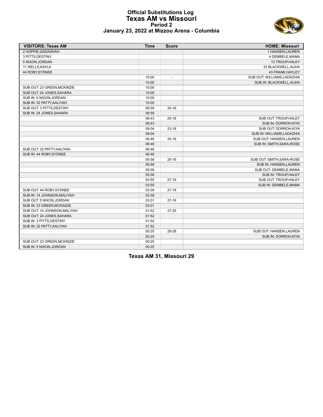

#### **Official Substitutions Log Texas AM vs Missouri Period 2 January 23, 2022 at Mizzou Arena - Columbia**

| <b>VISITORS: Texas AM</b>    | <b>Time</b> | <b>Score</b>             | <b>HOME: Missouri</b>       |
|------------------------------|-------------|--------------------------|-----------------------------|
| 2 HOPPIE, QADASHAH           |             |                          | 1 HANSEN, LAUREN            |
| 3 PITTS, DESTINY             |             |                          | 4 DEMBELE, MAMA             |
| 5 NIXON, JORDAN              |             |                          | 13 TROUP, HALEY             |
| 11 WELLS, KAYLA              |             |                          | 33 BLACKWELL, AIJHA         |
| 44 ROBY, SYDNEE              |             |                          | 43 FRANK, HAYLEY            |
|                              | 10:00       | $\overline{\phantom{a}}$ | SUB OUT: WILLIAMS, LADAZHIA |
|                              | 10:00       |                          | SUB IN: BLACKWELL, AIJHA    |
| SUB OUT: 23 GREEN, MCKINZIE  | 10:00       |                          |                             |
| SUB OUT: 24 JONES SAHARA     | 10:00       |                          |                             |
| SUB IN: 5 NIXON, JORDAN      | 10:00       |                          |                             |
| SUB IN: 32 PATTY, AALIYAH    | 10:00       |                          |                             |
| SUB OUT: 3 PITTS, DESTINY    | 08:59       | $20 - 16$                |                             |
| SUB IN: 24 JONES, SAHARA     | 08:59       |                          |                             |
|                              | 08:43       | $20 - 16$                | SUB OUT: TROUP, HALEY       |
|                              | 08:43       |                          | SUB IN: DORROH, KIYA        |
|                              | 08:04       | $23 - 16$                | SUB OUT: DORROH, KIYA       |
|                              | 08:04       |                          | SUB IN: WILLIAMS, LADAZHIA  |
|                              | 06:48       | $25-16$                  | SUB OUT: HANSEN, LAUREN     |
|                              | 06:48       |                          | SUB IN: SMITH, SARA-ROSE    |
| SUB OUT: 32 PATTY, AALIYAH   | 06:48       |                          |                             |
| SUB IN: 44 ROBY, SYDNEE      | 06:48       |                          |                             |
|                              | 05:58       | $25-16$                  | SUB OUT: SMITH, SARA-ROSE   |
|                              | 05:58       |                          | SUB IN: HANSEN, LAUREN      |
|                              | 05:58       |                          | SUB OUT: DEMBELE, MAMA      |
|                              | 05:58       |                          | SUB IN: TROUP HALEY         |
|                              | 03:55       | $27-16$                  | SUB OUT: TROUP, HALEY       |
|                              | 03:55       |                          | SUB IN: DEMBELE, MAMA       |
| SUB OUT: 44 ROBY SYDNEE      | 03:39       | $27-18$                  |                             |
| SUB IN: 14 JOHNSON, MALIYAH  | 03:39       |                          |                             |
| SUB OUT: 5 NIXON, JORDAN     | 03:01       | $27-18$                  |                             |
| SUB IN: 23 GREEN, MCKINZIE   | 03:01       |                          |                             |
| SUB OUT: 14 JOHNSON, MALIYAH | 01:52       | $27 - 25$                |                             |
| SUB OUT: 24 JONES, SAHARA    | 01:52       |                          |                             |
| SUB IN: 3 PITTS, DESTINY     | 01:52       |                          |                             |
| SUB IN: 32 PATTY, AALIYAH    | 01:52       |                          |                             |
|                              | 00:25       | 28-28                    | SUB OUT: HANSEN, LAUREN     |
|                              | 00:25       |                          | SUB IN: DORROH, KIYA        |
| SUB OUT: 23 GREEN.MCKINZIE   | 00:25       |                          |                             |
| SUB IN: 5 NIXON, JORDAN      | 00:25       |                          |                             |

**Texas AM 31, Missouri 29**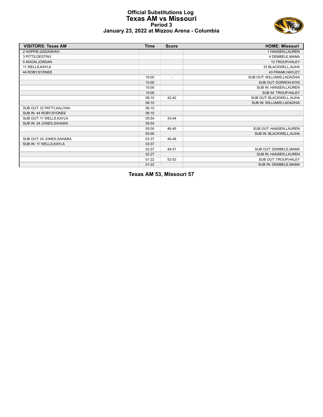#### **Official Substitutions Log Texas AM vs Missouri Period 3 January 23, 2022 at Mizzou Arena - Columbia**



| <b>VISITORS: Texas AM</b>  | Time  | <b>Score</b>             | <b>HOME: Missouri</b>       |
|----------------------------|-------|--------------------------|-----------------------------|
| 2 HOPPIE, QADASHAH         |       |                          | 1 HANSEN, LAUREN            |
| 3 PITTS, DESTINY           |       |                          | 4 DEMBELE, MAMA             |
| 5 NIXON, JORDAN            |       |                          | 13 TROUP, HALEY             |
| 11 WELLS, KAYLA            |       |                          | 33 BLACKWELL, AIJHA         |
| 44 ROBY, SYDNEE            |       |                          | 43 FRANK, HAYLEY            |
|                            | 10:00 | $\overline{\phantom{a}}$ | SUB OUT: WILLIAMS, LADAZHIA |
|                            | 10:00 |                          | SUB OUT: DORROH, KIYA       |
|                            | 10:00 |                          | SUB IN: HANSEN, LAUREN      |
|                            | 10:00 |                          | SUB IN: TROUP, HALEY        |
|                            | 06:10 | 42-42                    | SUB OUT: BLACKWELL, AIJHA   |
|                            | 06:10 |                          | SUB IN: WILLIAMS, LADAZHIA  |
| SUB OUT: 32 PATTY, AALIYAH | 06:10 |                          |                             |
| SUB IN: 44 ROBY, SYDNEE    | 06:10 |                          |                             |
| SUB OUT: 11 WELLS, KAYLA   | 05:54 | 43-44                    |                             |
| SUB IN: 24 JONES, SAHARA   | 05:54 |                          |                             |
|                            | 05:00 | 46-45                    | SUB OUT: HANSEN, LAUREN     |
|                            | 05:00 |                          | SUB IN: BLACKWELL, AIJHA    |
| SUB OUT: 24 JONES SAHARA   | 03:37 | 46-48                    |                             |
| SUB IN: 11 WELLS, KAYLA    | 03:37 |                          |                             |
|                            | 02:27 | 48-51                    | SUB OUT: DEMBELE, MAMA      |
|                            | 02:27 |                          | SUB IN: HANSEN, LAUREN      |
|                            | 01:22 | 52-53                    | SUB OUT: TROUP HALEY        |
|                            | 01:22 |                          | SUB IN: DEMBELE, MAMA       |

**Texas AM 53, Missouri 57**